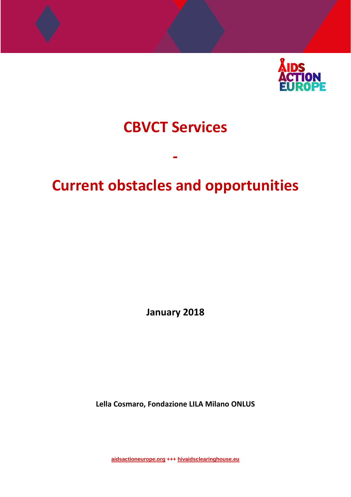

# **CBVCT Services**

# **Current obstacles and opportunities**

**‐** 

**January 2018**

**Lella Cosmaro, Fondazione LILA Milano ONLUS**

**aidsactioneurope.org +++ hivaidsclearinghouse.eu**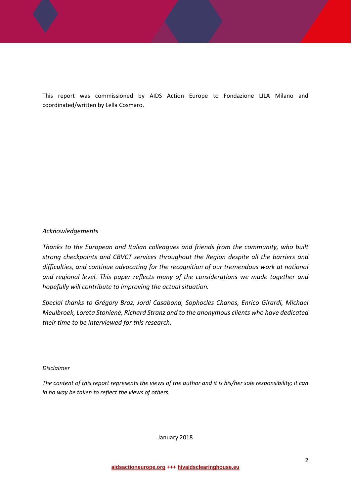This report was commissioned by AIDS Action Europe to Fondazione LILA Milano and coordinated/written by Lella Cosmaro.

#### *Acknowledgements*

*Thanks to the European and Italian colleagues and friends from the community, who built strong checkpoints and CBVCT services throughout the Region despite all the barriers and difficulties, and continue advocating for the recognition of our tremendous work at national and regional level. This paper reflects many of the considerations we made together and hopefully will contribute to improving the actual situation.*

*Special thanks to Grégory Braz, Jordi Casabona, Sophocles Chanos, Enrico Girardi, Michael Meulbroek, Loreta Stonienė, Richard Stranz and to the anonymous clients who have dedicated their time to be interviewed for this research.*

#### *Disclaimer*

The content of this report represents the views of the author and it is his/her sole responsibility; it can *in no way be taken to reflect the views of others.*

January <sup>2018</sup>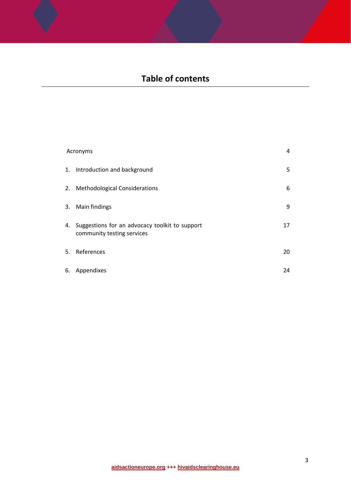## **Table of contents**

| Acronyms |                                                                              |    |
|----------|------------------------------------------------------------------------------|----|
|          | 1. Introduction and background                                               | 5  |
|          | 2. Methodological Considerations                                             | 6  |
|          | 3. Main findings                                                             | 9  |
| 4.       | Suggestions for an advocacy toolkit to support<br>community testing services | 17 |
|          | 5. References                                                                | 20 |
| 6.       | Appendixes                                                                   | 24 |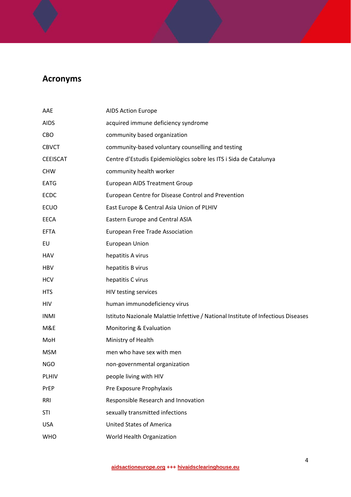## **Acronyms**

| AAE             | <b>AIDS Action Europe</b>                                                         |
|-----------------|-----------------------------------------------------------------------------------|
| <b>AIDS</b>     | acquired immune deficiency syndrome                                               |
| CBO             | community based organization                                                      |
| <b>CBVCT</b>    | community-based voluntary counselling and testing                                 |
| <b>CEEISCAT</b> | Centre d'Estudis Epidemiològics sobre les ITS i Sida de Catalunya                 |
| <b>CHW</b>      | community health worker                                                           |
| <b>EATG</b>     | <b>European AIDS Treatment Group</b>                                              |
| <b>ECDC</b>     | European Centre for Disease Control and Prevention                                |
| <b>ECUO</b>     | East Europe & Central Asia Union of PLHIV                                         |
| <b>EECA</b>     | Eastern Europe and Central ASIA                                                   |
| <b>EFTA</b>     | European Free Trade Association                                                   |
| EU              | <b>European Union</b>                                                             |
| <b>HAV</b>      | hepatitis A virus                                                                 |
| <b>HBV</b>      | hepatitis B virus                                                                 |
| <b>HCV</b>      | hepatitis C virus                                                                 |
| <b>HTS</b>      | HIV testing services                                                              |
| HIV             | human immunodeficiency virus                                                      |
| <b>INMI</b>     | Istituto Nazionale Malattie Infettive / National Institute of Infectious Diseases |
| M&E             | Monitoring & Evaluation                                                           |
| MoH             | Ministry of Health                                                                |
| <b>MSM</b>      | men who have sex with men                                                         |
| <b>NGO</b>      | non-governmental organization                                                     |
| <b>PLHIV</b>    | people living with HIV                                                            |
| PrEP            | Pre Exposure Prophylaxis                                                          |
| RRI             | Responsible Research and Innovation                                               |
| <b>STI</b>      | sexually transmitted infections                                                   |
| <b>USA</b>      | <b>United States of America</b>                                                   |
| <b>WHO</b>      | World Health Organization                                                         |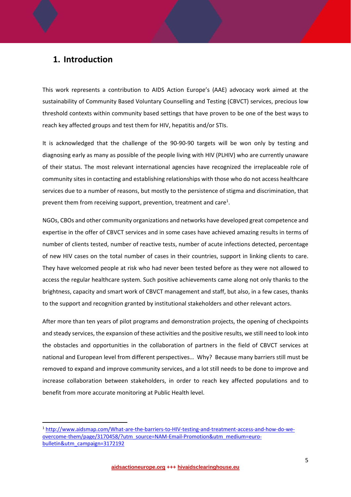### **1. Introduction**

This work represents a contribution to AIDS Action Europe's (AAE) advocacy work aimed at the sustainability of Community Based Voluntary Counselling and Testing (CBVCT) services, precious low threshold contexts within community based settings that have proven to be one of the best ways to reach key affected groups and test them for HIV, hepatitis and/or STIs.

It is acknowledged that the challenge of the 90‐90‐90 targets will be won only by testing and diagnosing early as many as possible of the people living with HIV (PLHIV) who are currently unaware of their status. The most relevant international agencies have recognized the irreplaceable role of community sites in contacting and establishing relationships with those who do not access healthcare services due to a number of reasons, but mostly to the persistence of stigma and discrimination, that prevent them from receiving support, prevention, treatment and care<sup>1</sup>.

NGOs, CBOs and other community organizations and networks have developed great competence and expertise in the offer of CBVCT services and in some cases have achieved amazing results in terms of number of clients tested, number of reactive tests, number of acute infections detected, percentage of new HIV cases on the total number of cases in their countries, support in linking clients to care. They have welcomed people at risk who had never been tested before as they were not allowed to access the regular healthcare system. Such positive achievements came along not only thanks to the brightness, capacity and smart work of CBVCT management and staff, but also, in a few cases, thanks to the support and recognition granted by institutional stakeholders and other relevant actors.

After more than ten years of pilot programs and demonstration projects, the opening of checkpoints and steady services, the expansion of these activities and the positive results, we still need to look into the obstacles and opportunities in the collaboration of partners in the field of CBVCT services at national and European level from different perspectives… Why? Because many barriers still must be removed to expand and improve community services, and a lot still needs to be done to improve and increase collaboration between stakeholders, in order to reach key affected populations and to benefit from more accurate monitoring at Public Health level.

<sup>1</sup> http://www.aidsmap.com/What-are-the-barriers-to-HIV-testing-and-treatment-access-and-how-do-weovercome-them/page/3170458/?utm\_source=NAM-Email-Promotion&utm\_medium=eurobulletin&utm\_campaign=3172192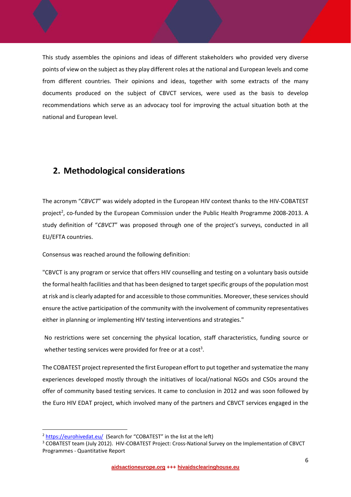This study assembles the opinions and ideas of different stakeholders who provided very diverse points of view on the subject as they play different roles at the national and European levels and come from different countries. Their opinions and ideas, together with some extracts of the many documents produced on the subject of CBVCT services, were used as the basis to develop recommendations which serve as an advocacy tool for improving the actual situation both at the national and European level.

### **2. Methodological considerations**

The acronym "*CBVCT*" was widely adopted in the European HIV context thanks to the HIV‐COBATEST project<sup>2</sup>, co-funded by the European Commission under the Public Health Programme 2008-2013. A study definition of "*CBVCT*" was proposed through one of the project's surveys, conducted in all EU/EFTA countries.

Consensus was reached around the following definition:

"CBVCT is any program or service that offers HIV counselling and testing on a voluntary basis outside the formal health facilities and that has been designed to target specific groups of the population most at risk and is clearly adapted for and accessible to those communities. Moreover, these services should ensure the active participation of the community with the involvement of community representatives either in planning or implementing HIV testing interventions and strategies."

No restrictions were set concerning the physical location, staff characteristics, funding source or whether testing services were provided for free or at a cost<sup>3</sup>.

The COBATEST project represented the first European effort to put together and systematize the many experiences developed mostly through the initiatives of local/national NGOs and CSOs around the offer of community based testing services. It came to conclusion in 2012 and was soon followed by the Euro HIV EDAT project, which involved many of the partners and CBVCT services engaged in the

<sup>&</sup>lt;sup>2</sup> https://eurohivedat.eu/ (Search for "COBATEST" in the list at the left)

<sup>&</sup>lt;sup>3</sup> COBATEST team (July 2012). HIV-COBATEST Project: Cross-National Survey on the Implementation of CBVCT Programmes ‐ Quantitative Report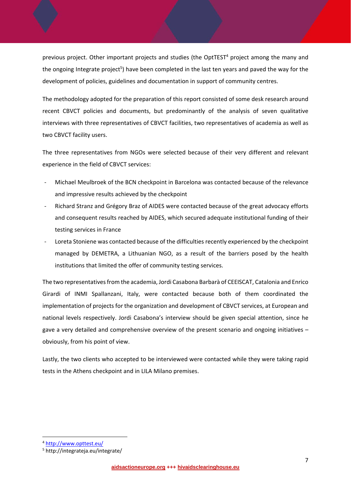previous project. Other important projects and studies (the OptTEST<sup>4</sup> project among the many and the ongoing Integrate project<sup>5</sup>) have been completed in the last ten years and paved the way for the development of policies, guidelines and documentation in support of community centres.

The methodology adopted for the preparation of this report consisted of some desk research around recent CBVCT policies and documents, but predominantly of the analysis of seven qualitative interviews with three representatives of CBVCT facilities, two representatives of academia as well as two CBVCT facility users.

The three representatives from NGOs were selected because of their very different and relevant experience in the field of CBVCT services:

- ‐ Michael Meulbroek of the BCN checkpoint in Barcelona was contacted because of the relevance and impressive results achieved by the checkpoint
- ‐ Richard Stranz and Grégory Braz of AIDES were contacted because of the great advocacy efforts and consequent results reached by AIDES, which secured adequate institutional funding of their testing services in France
- Loreta Stoniene was contacted because of the difficulties recently experienced by the checkpoint managed by DEMETRA, a Lithuanian NGO, as a result of the barriers posed by the health institutions that limited the offer of community testing services.

The two representativesfrom the academia, Jordi Casabona Barbarà of CEEISCAT, Catalonia and Enrico Girardi of INMI Spallanzani, Italy, were contacted because both of them coordinated the implementation of projects for the organization and development of CBVCT services, at European and national levels respectively. Jordi Casabona's interview should be given special attention, since he gave a very detailed and comprehensive overview of the present scenario and ongoing initiatives – obviously, from his point of view.

Lastly, the two clients who accepted to be interviewed were contacted while they were taking rapid tests in the Athens checkpoint and in LILA Milano premises.

<sup>4</sup> http://www.opttest.eu/

<sup>5</sup> http://integrateja.eu/integrate/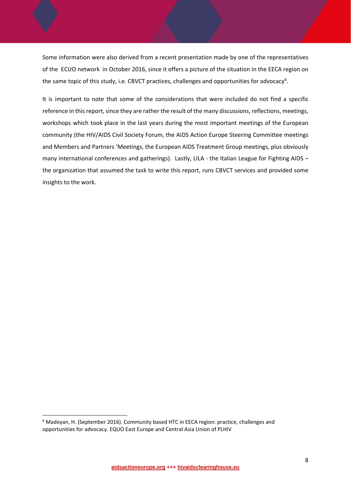Some information were also derived from a recent presentation made by one of the representatives of the ECUO network in October 2016, since it offers a picture of the situation in the EECA region on the same topic of this study, i.e. CBVCT practices, challenges and opportunities for advocacy<sup>6</sup>.

It is important to note that some of the considerations that were included do not find a specific reference in this report, since they are rather the result of the many discussions, reflections, meetings, workshops which took place in the last years during the most important meetings of the European community (the HIV/AIDS Civil Society Forum, the AIDS Action Europe Steering Committee meetings and Members and Partners 'Meetings, the European AIDS Treatment Group meetings, plus obviously many international conferences and gatherings). Lastly, LILA - the Italian League for Fighting AIDS the organization that assumed the task to write this report, runs CBVCT services and provided some insights to the work.

<sup>6</sup> Madoyan, H. (September 2016). Community based HTC in EECA region: practice, challenges and opportunities for advocacy. EQUO East Europe and Central Asia Union of PLHIV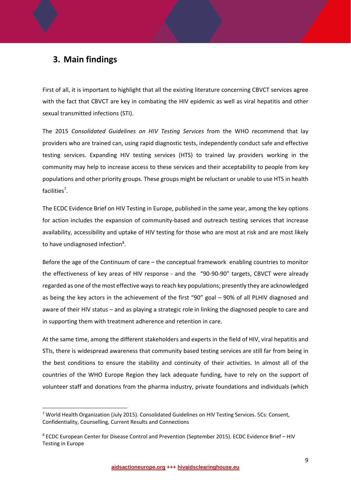## **3. Main findings**

First of all, it is important to highlight that all the existing literature concerning CBVCT services agree with the fact that CBVCT are key in combating the HIV epidemic as well as viral hepatitis and other sexual transmitted infections (STI).

The 2015 *Consolidated Guidelines on HIV Testing Services* from the WHO recommend that lay providers who are trained can, using rapid diagnostic tests, independently conduct safe and effective testing services. Expanding HIV testing services (HTS) to trained lay providers working in the community may help to increase access to these services and their acceptability to people from key populations and other priority groups. These groups might be reluctant or unable to use HTS in health facilities<sup>7</sup>.

The ECDC Evidence Brief on HIV Testing in Europe, published in the same year, among the key options for action includes the expansion of community-based and outreach testing services that increase availability, accessibility and uptake of HIV testing for those who are most at risk and are most likely to have undiagnosed infection<sup>8</sup>.

Before the age of the Continuum of care – the conceptual framework enabling countries to monitor the effectiveness of key areas of HIV response - and the "90-90-90" targets, CBVCT were already regarded as one of the most effective waysto reach key populations; presently they are acknowledged as being the key actors in the achievement of the first "90" goal – 90% of all PLHIV diagnosed and aware of their HIV status – and as playing a strategic role in linking the diagnosed people to care and in supporting them with treatment adherence and retention in care.

At the same time, among the different stakeholders and experts in the field of HIV, viral hepatitis and STIs, there is widespread awareness that community based testing services are still far from being in the best conditions to ensure the stability and continuity of their activities. In almost all of the countries of the WHO Europe Region they lack adequate funding, have to rely on the support of volunteer staff and donations from the pharma industry, private foundations and individuals (which

<sup>&</sup>lt;sup>7</sup> World Health Organization (July 2015). Consolidated Guidelines on HIV Testing Services. 5Cs: Consent, Confidentiality, Counselling, Current Results and Connections

<sup>8</sup> ECDC European Center for Disease Control and Prevention (September 2015). ECDC Evidence Brief – HIV Testing in Europe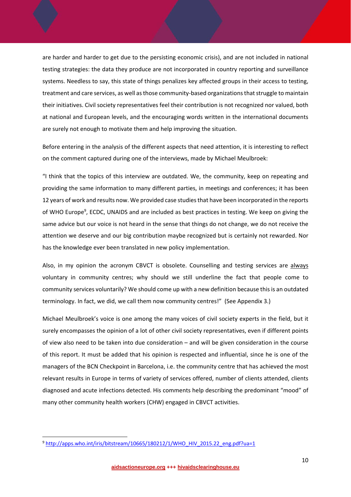are harder and harder to get due to the persisting economic crisis), and are not included in national testing strategies: the data they produce are not incorporated in country reporting and surveillance systems. Needless to say, this state of things penalizes key affected groups in their access to testing, treatment and care services, as well as those community-based organizations that struggle to maintain their initiatives. Civil society representatives feel their contribution is not recognized nor valued, both at national and European levels, and the encouraging words written in the international documents are surely not enough to motivate them and help improving the situation.

Before entering in the analysis of the different aspects that need attention, it is interesting to reflect on the comment captured during one of the interviews, made by Michael Meulbroek:

"I think that the topics of this interview are outdated. We, the community, keep on repeating and providing the same information to many different parties, in meetings and conferences; it has been 12 years of work and results now. We provided case studiesthat have been incorporated in the reports of WHO Europe<sup>9</sup>, ECDC, UNAIDS and are included as best practices in testing. We keep on giving the same advice but our voice is not heard in the sense that things do not change, we do not receive the attention we deserve and our big contribution maybe recognized but is certainly not rewarded. Nor has the knowledge ever been translated in new policy implementation.

Also, in my opinion the acronym CBVCT is obsolete. Counselling and testing services are always voluntary in community centres; why should we still underline the fact that people come to community services voluntarily? We should come up with a new definition because thisis an outdated terminology. In fact, we did, we call them now community centres!" (See Appendix 3.)

Michael Meulbroek's voice is one among the many voices of civil society experts in the field, but it surely encompasses the opinion of a lot of other civil society representatives, even if different points of view also need to be taken into due consideration – and will be given consideration in the course of this report. It must be added that his opinion is respected and influential, since he is one of the managers of the BCN Checkpoint in Barcelona, i.e. the community centre that has achieved the most relevant results in Europe in terms of variety of services offered, number of clients attended, clients diagnosed and acute infections detected. His comments help describing the predominant "mood" of many other community health workers (CHW) engaged in CBVCT activities.

<sup>9</sup> http://apps.who.int/iris/bitstream/10665/180212/1/WHO\_HIV\_2015.22\_eng.pdf?ua=1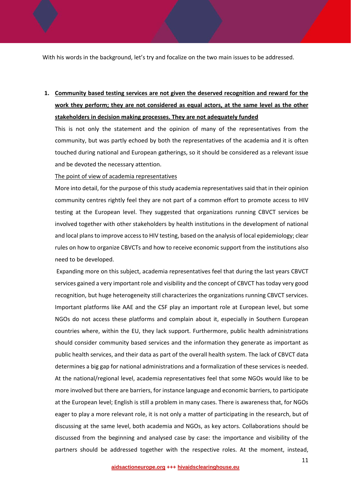With his words in the background, let's try and focalize on the two main issues to be addressed.

## **1. Community based testing services are not given the deserved recognition and reward for the work they perform; they are not considered as equal actors, at the same level as the other stakeholders in decision making processes. They are not adequately funded**

This is not only the statement and the opinion of many of the representatives from the community, but was partly echoed by both the representatives of the academia and it is often touched during national and European gatherings, so it should be considered as a relevant issue and be devoted the necessary attention.

The point of view of academia representatives

More into detail, for the purpose of this study academia representatives said that in their opinion community centres rightly feel they are not part of a common effort to promote access to HIV testing at the European level. They suggested that organizations running CBVCT services be involved together with other stakeholders by health institutions in the development of national and local plansto improve accessto HIV testing, based on the analysis of local epidemiology; clear rules on how to organize CBVCTs and how to receive economic support from the institutions also need to be developed.

Expanding more on this subject, academia representatives feel that during the last years CBVCT services gained a very important role and visibility and the concept of CBVCT has today very good recognition, but huge heterogeneity still characterizes the organizations running CBVCT services. Important platforms like AAE and the CSF play an important role at European level, but some NGOs do not access these platforms and complain about it, especially in Southern European countries where, within the EU, they lack support. Furthermore, public health administrations should consider community based services and the information they generate as important as public health services, and their data as part of the overall health system. The lack of CBVCT data determines a big gap for national administrations and a formalization of these services is needed. At the national/regional level, academia representatives feel that some NGOs would like to be more involved but there are barriers, for instance language and economic barriers, to participate at the European level; English is still a problem in many cases. There is awareness that, for NGOs eager to play a more relevant role, it is not only a matter of participating in the research, but of discussing at the same level, both academia and NGOs, as key actors. Collaborations should be discussed from the beginning and analysed case by case: the importance and visibility of the partners should be addressed together with the respective roles. At the moment, instead,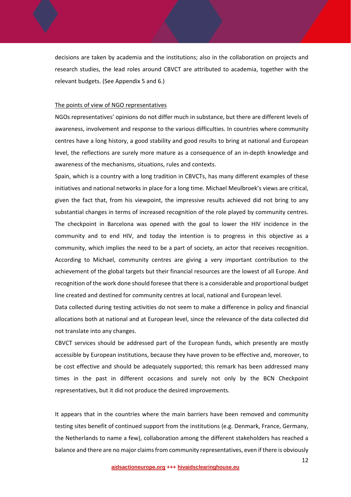decisions are taken by academia and the institutions; also in the collaboration on projects and research studies, the lead roles around CBVCT are attributed to academia, together with the relevant budgets. (See Appendix 5 and 6.)

#### The points of view of NGO representatives

NGOs representatives' opinions do not differ much in substance, but there are different levels of awareness, involvement and response to the various difficulties. In countries where community centres have a long history, a good stability and good results to bring at national and European level, the reflections are surely more mature as a consequence of an in‐depth knowledge and awareness of the mechanisms, situations, rules and contexts.

Spain, which is a country with a long tradition in CBVCTs, has many different examples of these initiatives and national networks in place for a long time. Michael Meulbroek's views are critical, given the fact that, from his viewpoint, the impressive results achieved did not bring to any substantial changes in terms of increased recognition of the role played by community centres. The checkpoint in Barcelona was opened with the goal to lower the HIV incidence in the community and to end HIV, and today the intention is to progress in this objective as a community, which implies the need to be a part of society, an actor that receives recognition. According to Michael, community centres are giving a very important contribution to the achievement of the global targets but their financial resources are the lowest of all Europe. And recognition of the work done should foresee that there is a considerable and proportional budget line created and destined for community centres at local, national and European level.

Data collected during testing activities do not seem to make a difference in policy and financial allocations both at national and at European level, since the relevance of the data collected did not translate into any changes.

CBVCT services should be addressed part of the European funds, which presently are mostly accessible by European institutions, because they have proven to be effective and, moreover, to be cost effective and should be adequately supported; this remark has been addressed many times in the past in different occasions and surely not only by the BCN Checkpoint representatives, but it did not produce the desired improvements.

It appears that in the countries where the main barriers have been removed and community testing sites benefit of continued support from the institutions (e.g. Denmark, France, Germany, the Netherlands to name a few), collaboration among the different stakeholders has reached a balance and there are no major claimsfrom community representatives, even if there is obviously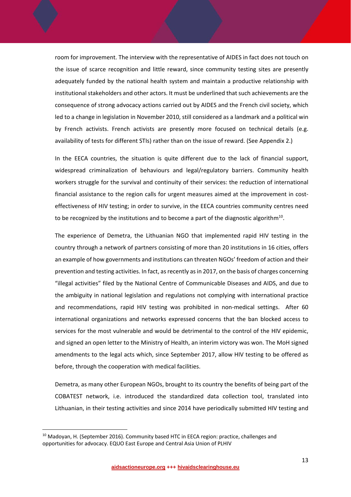room for improvement. The interview with the representative of AIDES in fact does not touch on the issue of scarce recognition and little reward, since community testing sites are presently adequately funded by the national health system and maintain a productive relationship with institutional stakeholders and other actors. It must be underlined that such achievements are the consequence of strong advocacy actions carried out by AIDES and the French civil society, which led to a change in legislation in November 2010, still considered as a landmark and a political win by French activists. French activists are presently more focused on technical details (e.g. availability of tests for different STIs) rather than on the issue of reward. (See Appendix 2.)

In the EECA countries, the situation is quite different due to the lack of financial support, widespread criminalization of behaviours and legal/regulatory barriers. Community health workers struggle for the survival and continuity of their services: the reduction of international financial assistance to the region calls for urgent measures aimed at the improvement in costeffectiveness of HIV testing; in order to survive, in the EECA countries community centres need to be recognized by the institutions and to become a part of the diagnostic algorithm<sup>10</sup>.

The experience of Demetra, the Lithuanian NGO that implemented rapid HIV testing in the country through a network of partners consisting of more than 20 institutions in 16 cities, offers an example of how governments and institutions can threaten NGOs' freedom of action and their prevention and testing activities. In fact, as recently as in 2017, on the basis of charges concerning "illegal activities" filed by the National Centre of Communicable Diseases and AIDS, and due to the ambiguity in national legislation and regulations not complying with international practice and recommendations, rapid HIV testing was prohibited in non-medical settings. After 60 international organizations and networks expressed concerns that the ban blocked access to services for the most vulnerable and would be detrimental to the control of the HIV epidemic, and signed an open letter to the Ministry of Health, an interim victory was won. The MoH signed amendments to the legal acts which, since September 2017, allow HIV testing to be offered as before, through the cooperation with medical facilities.

Demetra, as many other European NGOs, brought to its country the benefits of being part of the COBATEST network, i.e. introduced the standardized data collection tool, translated into Lithuanian, in their testing activities and since 2014 have periodically submitted HIV testing and

<sup>&</sup>lt;sup>10</sup> Madoyan, H. (September 2016). Community based HTC in EECA region: practice, challenges and opportunities for advocacy. EQUO East Europe and Central Asia Union of PLHIV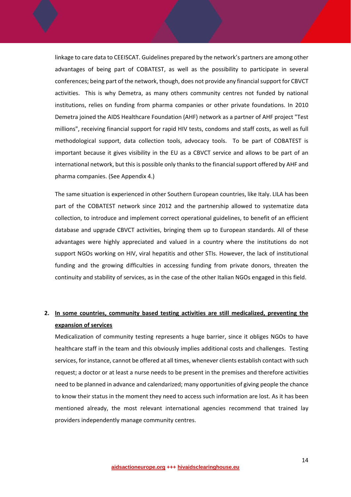linkage to care data to CEEISCAT. Guidelines prepared by the network's partners are among other advantages of being part of COBATEST, as well as the possibility to participate in several conferences; being part of the network, though, does not provide any financial support for CBVCT activities. This is why Demetra, as many others community centres not funded by national institutions, relies on funding from pharma companies or other private foundations. In 2010 Demetra joined the AIDS Healthcare Foundation (AHF) network as a partner of AHF project "Test millions", receiving financial support for rapid HIV tests, condoms and staff costs, as well as full methodological support, data collection tools, advocacy tools. To be part of COBATEST is important because it gives visibility in the EU as a CBVCT service and allows to be part of an international network, but this is possible only thanks to the financial support offered by AHF and pharma companies. (See Appendix 4.)

The same situation is experienced in other Southern European countries, like Italy. LILA has been part of the COBATEST network since 2012 and the partnership allowed to systematize data collection, to introduce and implement correct operational guidelines, to benefit of an efficient database and upgrade CBVCT activities, bringing them up to European standards. All of these advantages were highly appreciated and valued in a country where the institutions do not support NGOs working on HIV, viral hepatitis and other STIs. However, the lack of institutional funding and the growing difficulties in accessing funding from private donors, threaten the continuity and stability of services, as in the case of the other Italian NGOs engaged in this field.

### **2. In some countries, community based testing activities are still medicalized, preventing the expansion of services**

Medicalization of community testing represents a huge barrier, since it obliges NGOs to have healthcare staff in the team and this obviously implies additional costs and challenges. Testing services, for instance, cannot be offered at all times, whenever clients establish contact with such request; a doctor or at least a nurse needs to be present in the premises and therefore activities need to be planned in advance and calendarized; many opportunities of giving people the chance to know their status in the moment they need to access such information are lost. As it has been mentioned already, the most relevant international agencies recommend that trained lay providers independently manage community centres.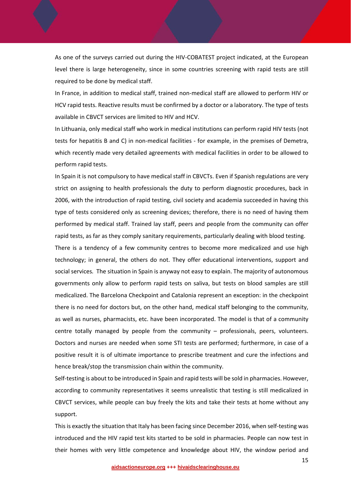As one of the surveys carried out during the HIV‐COBATEST project indicated, at the European level there is large heterogeneity, since in some countries screening with rapid tests are still required to be done by medical staff.

In France, in addition to medical staff, trained non‐medical staff are allowed to perform HIV or HCV rapid tests. Reactive results must be confirmed by a doctor or a laboratory. The type of tests available in CBVCT services are limited to HIV and HCV.

In Lithuania, only medical staff who work in medical institutions can perform rapid HIV tests (not tests for hepatitis B and C) in non‐medical facilities ‐ for example, in the premises of Demetra, which recently made very detailed agreements with medical facilities in order to be allowed to perform rapid tests.

In Spain it is not compulsory to have medical staff in CBVCTs. Even if Spanish regulations are very strict on assigning to health professionals the duty to perform diagnostic procedures, back in 2006, with the introduction of rapid testing, civil society and academia succeeded in having this type of tests considered only as screening devices; therefore, there is no need of having them performed by medical staff. Trained lay staff, peers and people from the community can offer rapid tests, as far as they comply sanitary requirements, particularly dealing with blood testing.

There is a tendency of a few community centres to become more medicalized and use high technology; in general, the others do not. They offer educational interventions, support and social services*.* The situation in Spain is anyway not easy to explain. The majority of autonomous governments only allow to perform rapid tests on saliva, but tests on blood samples are still medicalized. The Barcelona Checkpoint and Catalonia represent an exception: in the checkpoint there is no need for doctors but, on the other hand, medical staff belonging to the community, as well as nurses, pharmacists, etc. have been incorporated. The model is that of a community centre totally managed by people from the community – professionals, peers, volunteers. Doctors and nurses are needed when some STI tests are performed; furthermore, in case of a positive result it is of ultimate importance to prescribe treatment and cure the infections and hence break/stop the transmission chain within the community.

Self-testing is about to be introduced in Spain and rapid tests will be sold in pharmacies. However, according to community representatives it seems unrealistic that testing is still medicalized in CBVCT services, while people can buy freely the kits and take their tests at home without any support.

This is exactly the situation that Italy has been facing since December 2016, when self-testing was introduced and the HIV rapid test kits started to be sold in pharmacies. People can now test in their homes with very little competence and knowledge about HIV, the window period and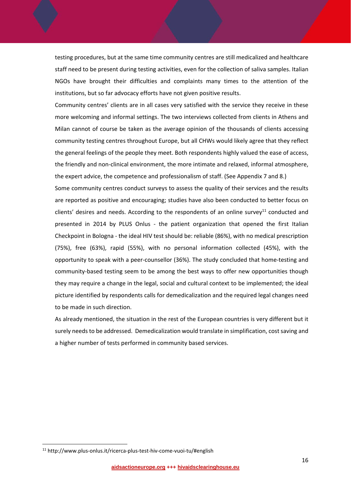testing procedures, but at the same time community centres are still medicalized and healthcare staff need to be present during testing activities, even for the collection of saliva samples. Italian NGOs have brought their difficulties and complaints many times to the attention of the institutions, but so far advocacy efforts have not given positive results.

Community centres' clients are in all cases very satisfied with the service they receive in these more welcoming and informal settings. The two interviews collected from clients in Athens and Milan cannot of course be taken as the average opinion of the thousands of clients accessing community testing centres throughout Europe, but all CHWs would likely agree that they reflect the general feelings of the people they meet. Both respondents highly valued the ease of access, the friendly and non‐clinical environment, the more intimate and relaxed, informal atmosphere, the expert advice, the competence and professionalism of staff. (See Appendix 7 and 8.)

Some community centres conduct surveys to assess the quality of their services and the results are reported as positive and encouraging; studies have also been conducted to better focus on clients' desires and needs. According to the respondents of an online survey<sup>11</sup> conducted and presented in 2014 by PLUS Onlus - the patient organization that opened the first Italian Checkpoint in Bologna ‐ the ideal HIV test should be: reliable (86%), with no medical prescription (75%), free (63%), rapid (55%), with no personal information collected (45%), with the opportunity to speak with a peer‐counsellor (36%). The study concluded that home‐testing and community-based testing seem to be among the best ways to offer new opportunities though they may require a change in the legal, social and cultural context to be implemented; the ideal picture identified by respondents calls for demedicalization and the required legal changes need to be made in such direction.

As already mentioned, the situation in the rest of the European countries is very different but it surely needs to be addressed. Demedicalization would translate in simplification, cost saving and a higher number of tests performed in community based services.

<sup>11</sup> http://www.plus‐onlus.it/ricerca‐plus‐test‐hiv‐come‐vuoi‐tu/#english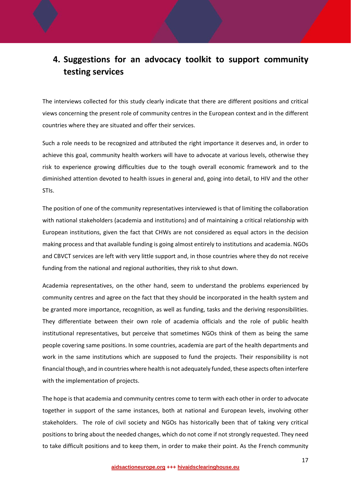## **4. Suggestions for an advocacy toolkit to support community testing services**

The interviews collected for this study clearly indicate that there are different positions and critical views concerning the present role of community centres in the European context and in the different countries where they are situated and offer their services.

Such a role needs to be recognized and attributed the right importance it deserves and, in order to achieve this goal, community health workers will have to advocate at various levels, otherwise they risk to experience growing difficulties due to the tough overall economic framework and to the diminished attention devoted to health issues in general and, going into detail, to HIV and the other STIs.

The position of one of the community representatives interviewed is that of limiting the collaboration with national stakeholders (academia and institutions) and of maintaining a critical relationship with European institutions, given the fact that CHWs are not considered as equal actors in the decision making process and that available funding is going almost entirely to institutions and academia. NGOs and CBVCT services are left with very little support and, in those countries where they do not receive funding from the national and regional authorities, they risk to shut down.

Academia representatives, on the other hand, seem to understand the problems experienced by community centres and agree on the fact that they should be incorporated in the health system and be granted more importance, recognition, as well as funding, tasks and the deriving responsibilities. They differentiate between their own role of academia officials and the role of public health institutional representatives, but perceive that sometimes NGOs think of them as being the same people covering same positions. In some countries, academia are part of the health departments and work in the same institutions which are supposed to fund the projects. Their responsibility is not financial though, and in countries where health is not adequately funded, these aspects often interfere with the implementation of projects.

The hope is that academia and community centres come to term with each other in order to advocate together in support of the same instances, both at national and European levels, involving other stakeholders. The role of civil society and NGOs has historically been that of taking very critical positions to bring about the needed changes, which do not come if not strongly requested. They need to take difficult positions and to keep them, in order to make their point. As the French community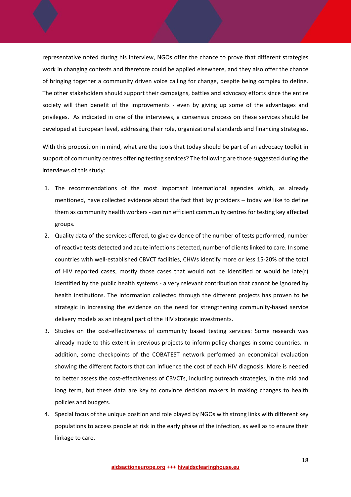representative noted during his interview, NGOs offer the chance to prove that different strategies work in changing contexts and therefore could be applied elsewhere, and they also offer the chance of bringing together a community driven voice calling for change, despite being complex to define. The other stakeholders should support their campaigns, battles and advocacy efforts since the entire society will then benefit of the improvements - even by giving up some of the advantages and privileges. As indicated in one of the interviews, a consensus process on these services should be developed at European level, addressing their role, organizational standards and financing strategies.

With this proposition in mind, what are the tools that today should be part of an advocacy toolkit in support of community centres offering testing services? The following are those suggested during the interviews of this study:

- 1. The recommendations of the most important international agencies which, as already mentioned, have collected evidence about the fact that lay providers – today we like to define them as community health workers ‐ can run efficient community centres for testing key affected groups.
- 2. Quality data of the services offered, to give evidence of the number of tests performed, number of reactive tests detected and acute infections detected, number of clientslinked to care. In some countries with well‐established CBVCT facilities, CHWs identify more or less 15‐20% of the total of HIV reported cases, mostly those cases that would not be identified or would be late(r) identified by the public health systems ‐ a very relevant contribution that cannot be ignored by health institutions. The information collected through the different projects has proven to be strategic in increasing the evidence on the need for strengthening community‐based service delivery models as an integral part of the HIV strategic investments.
- 3. Studies on the cost-effectiveness of community based testing services: Some research was already made to this extent in previous projects to inform policy changes in some countries. In addition, some checkpoints of the COBATEST network performed an economical evaluation showing the different factors that can influence the cost of each HIV diagnosis. More is needed to better assess the cost-effectiveness of CBVCTs, including outreach strategies, in the mid and long term, but these data are key to convince decision makers in making changes to health policies and budgets.
- 4. Special focus of the unique position and role played by NGOs with strong links with different key populations to access people at risk in the early phase of the infection, as well as to ensure their linkage to care.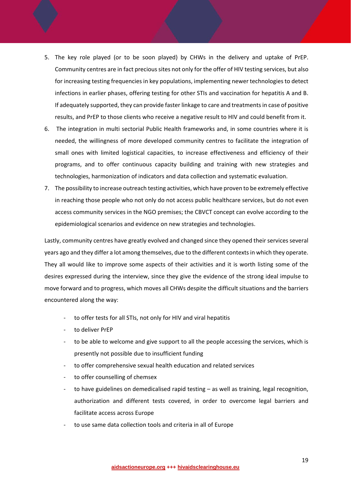- 5. The key role played (or to be soon played) by CHWs in the delivery and uptake of PrEP. Community centres are in fact precious sites not only for the offer of HIV testing services, but also for increasing testing frequencies in key populations, implementing newer technologies to detect infections in earlier phases, offering testing for other STIs and vaccination for hepatitis A and B. If adequately supported, they can provide faster linkage to care and treatments in case of positive results, and PrEP to those clients who receive a negative result to HIV and could benefit from it.
- 6. The integration in multi sectorial Public Health frameworks and, in some countries where it is needed, the willingness of more developed community centres to facilitate the integration of small ones with limited logistical capacities, to increase effectiveness and efficiency of their programs, and to offer continuous capacity building and training with new strategies and technologies, harmonization of indicators and data collection and systematic evaluation.
- 7. The possibility to increase outreach testing activities, which have proven to be extremely effective in reaching those people who not only do not access public healthcare services, but do not even access community services in the NGO premises; the CBVCT concept can evolve according to the epidemiological scenarios and evidence on new strategies and technologies.

Lastly, community centres have greatly evolved and changed since they opened their services several years ago and they differ a lot among themselves, due to the different contextsin which they operate. They all would like to improve some aspects of their activities and it is worth listing some of the desires expressed during the interview, since they give the evidence of the strong ideal impulse to move forward and to progress, which moves all CHWs despite the difficult situations and the barriers encountered along the way:

- to offer tests for all STIs, not only for HIV and viral hepatitis
- ‐ to deliver PrEP
- to be able to welcome and give support to all the people accessing the services, which is presently not possible due to insufficient funding
- ‐ to offer comprehensive sexual health education and related services
- to offer counselling of chemsex
- to have guidelines on demedicalised rapid testing as well as training, legal recognition, authorization and different tests covered, in order to overcome legal barriers and facilitate access across Europe
- to use same data collection tools and criteria in all of Europe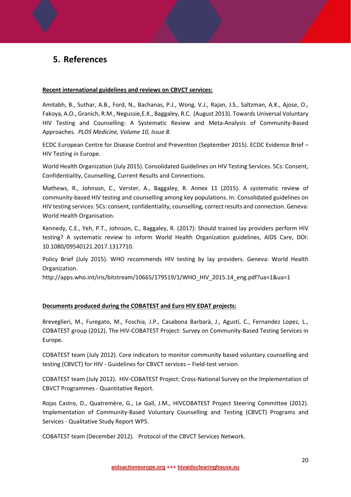## **5. References**

#### **Recent international guidelines and reviews on CBVCT services:**

Amitabh, B., Suthar, A.B., Ford, N., Bachanas, P.J., Wong, V.J., Rajan, J.S., Saltzman, A.K., Ajose, O., Fakoya, A.O., Granich, R.M., Negussie,E.K., Baggaley, R.C. (August 2013). Towards Universal Voluntary HIV Testing and Counselling: A Systematic Review and Meta‐Analysis of Community‐Based Approaches. *PLOS Medicine, Volume 10, Issue 8.*

ECDC European Centre for Disease Control and Prevention (September 2015). ECDC Evidence Brief – HIV Testing in Europe.

World Health Organization (July 2015). Consolidated Guidelines on HIV Testing Services. 5Cs: Consent, Confidentiality, Counselling, Current Results and Connections.

Mathews, R., Johnson, C., Verster, A., Baggaley, R. Annex 11 (2015). A systematic review of community-based HIV testing and counselling among key populations. In: Consolidated guidelines on HIV testing services: 5Cs: consent, confidentiality, counselling, correct results and connection. Geneva: World Health Organisation.

Kennedy, C.E., Yeh, P.T., Johnson, C., Baggaley, R. (2017): Should trained lay providers perform HIV testing? A systematic review to inform World Health Organization guidelines, AIDS Care, DOI: 10.1080/09540121.2017.1317710.

Policy Brief (July 2015). WHO recommends HIV testing by lay providers. Geneva: World Health Organization.

http://apps.who.int/iris/bitstream/10665/179519/1/WHO\_HIV\_2015.14\_eng.pdf?ua=1&ua=1

#### **Documents produced during the COBATEST and Euro HIV EDAT projects:**

Breveglieri, M., Furegato, M., Foschia, J.P., Casabona Barbarà, J., Agustí, C., Fernandez Lopez, L., COBATEST group (2012). The HIV‐COBATEST Project: Survey on Community‐Based Testing Services in Europe.

COBATEST team (July 2012). Core indicators to monitor community based voluntary counselling and testing (CBVCT) for HIV ‐ Guidelines for CBVCT services – Field‐test version.

COBATEST team (July 2012). HIV‐COBATEST Project: Cross‐National Survey on the Implementation of CBVCT Programmes ‐ Quantitative Report.

Rojas Castro, D., Quatremère, G., Le Gall, J.M., HIVCOBATEST Project Steering Committee (2012). Implementation of Community-Based Voluntary Counselling and Testing (CBVCT) Programs and Services ‐ Qualitative Study Report WP5.

COBATEST team (December 2012). Protocol of the CBVCT Services Network.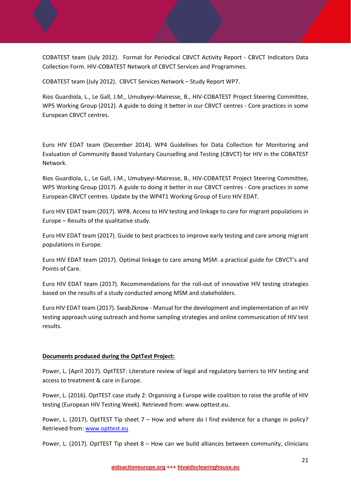COBATEST team (July 2012). Format for Periodical CBVCT Activity Report ‐ CBVCT Indicators Data Collection Form. HIV‐COBATEST Network of CBVCT Services and Programmes.

COBATEST team (July 2012). CBVCT Services Network – Study Report WP7.

Rios Guardiola, L., Le Gall, J.M., Umubyeyi‐Mairesse, B., HIV‐COBATEST Project Steering Committee, WP5 Working Group (2012). A guide to doing it better in our CBVCT centres ‐ Core practices in some European CBVCT centres.

Euro HIV EDAT team (December 2014). WP4 Guidelines for Data Collection for Monitoring and Evaluation of Community Based Voluntary Counselling and Testing (CBVCT) for HIV in the COBATEST Network.

Rios Guardiola, L., Le Gall, J.M., Umubyeyi‐Mairesse, B., HIV‐COBATEST Project Steering Committee, WP5 Working Group (2017). A guide to doing it better in our CBVCT centres ‐ Core practices in some European CBVCT centres. Update by the WP4T1 Working Group of Euro HIV EDAT.

Euro HIV EDAT team (2017). WP8. Access to HIV testing and linkage to care for migrant populations in Europe – Results of the qualitative study.

Euro HIV EDAT team (2017). Guide to best practices to improve early testing and care among migrant populations in Europe.

Euro HIV EDAT team (2017). Optimal linkage to care among MSM: a practical guide for CBVCT's and Points of Care.

Euro HIV EDAT team (2017). Recommendations for the roll‐out of innovative HIV testing strategies based on the results of a study conducted among MSM and stakeholders.

Euro HIV EDAT team (2017). Swab2know ‐ Manual for the development and implementation of an HIV testing approach using outreach and home sampling strategies and online communication of HIV test results.

#### **Documents produced during the OptTest Project:**

Power, L. (April 2017). OptTEST: Literature review of legal and regulatory barriers to HIV testing and access to treatment & care in Europe.

Power, L. (2016). OptTEST case study 2: Organising a Europe wide coalition to raise the profile of HIV testing (European HIV Testing Week). Retrieved from: www.opttest.eu.

Power, L. (2017). OptTEST Tip sheet 7 – How and where do I find evidence for a change in policy? Retrieved from: www.opttest.eu

Power, L. (2017). OptTEST Tip sheet 8 – How can we build alliances between community, clinicians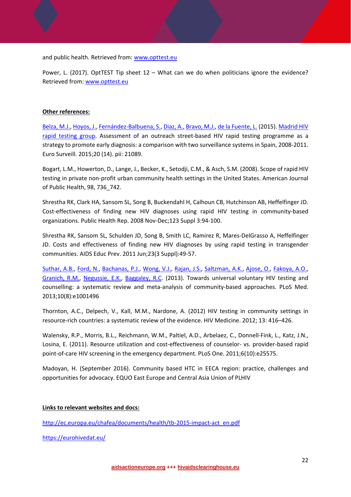and public health. Retrieved from: www.opttest.eu

Power, L. (2017). OptTEST Tip sheet 12 – What can we do when politicians ignore the evidence? Retrieved from: www.opttest.eu

#### **Other references:**

Belza, M.J., Hoyos, J., Fernández-Balbuena, S., Diaz, A., Bravo, M.J., de la Fuente, L. (2015). Madrid HIV rapid testing group. Assessment of an outreach street-based HIV rapid testing programme as a strategy to promote early diagnosis: a comparison with two surveillance systems in Spain, 2008‐2011. Euro Surveill. 2015;20 (14). pii: 21089.

Bogart, L.M., Howerton, D., Lange, J., Becker, K., Setodji, C.M., & Asch, S.M. (2008). Scope of rapid HIV testing in private non‐profit urban community health settings in the United States. American Journal of Public Health, 98, 736\_742.

Shrestha RK, Clark HA, Sansom SL, Song B, Buckendahl H, Calhoun CB, Hutchinson AB, Heffelfinger JD. Cost-effectiveness of finding new HIV diagnoses using rapid HIV testing in community-based organizations. Public Health Rep. 2008 Nov‐Dec;123 Suppl 3:94‐100.

Shrestha RK, Sansom SL, Schulden JD, Song B, Smith LC, Ramirez R, Mares‐DelGrasso A, Heffelfinger JD. Costs and effectiveness of finding new HIV diagnoses by using rapid testing in transgender communities. AIDS Educ Prev. 2011 Jun;23(3 Suppl):49‐57.

Suthar, A.B., Ford, N., Bachanas, P.J., Wong, V.J., Rajan, J.S., Saltzman, A.K., Ajose, O., Fakoya, A.O., Granich, R.M., Negussie, E.K., Baggaley, R.C. (2013). Towards universal voluntary HIV testing and counselling: a systematic review and meta‐analysis of community‐based approaches. PLoS Med. 2013;10(8):e1001496

Thornton, A.C., Delpech, V., Kall, M.M., Nardone, A. (2012) HIV testing in community settings in resource‐rich countries: a systematic review of the evidence. HIV Medicine. 2012; 13: 416–426.

Walensky, R.P., Morris, B.L., Reichmann, W.M., Paltiel, A.D., Arbelaez, C., Donnell‐Fink, L., Katz, J.N., Losina, E. (2011). Resource utilization and cost‐effectiveness of counselor‐ vs. provider‐based rapid point-of-care HIV screening in the emergency department. PLoS One. 2011;6(10):e25575.

Madoyan, H. (September 2016). Community based HTC in EECA region: practice, challenges and opportunities for advocacy. EQUO East Europe and Central Asia Union of PLHIV

#### **Links to relevant websites and docs:**

http://ec.europa.eu/chafea/documents/health/tb-2015-impact-act\_en.pdf

https://eurohivedat.eu/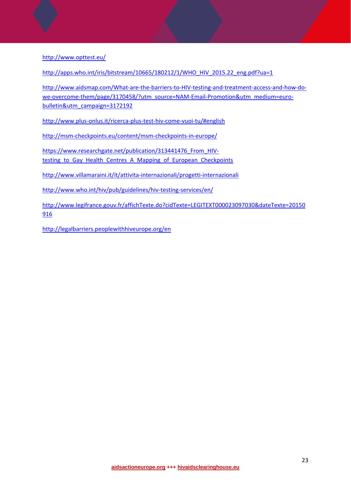http://www.opttest.eu/

http://apps.who.int/iris/bitstream/10665/180212/1/WHO\_HIV\_2015.22\_eng.pdf?ua=1

http://www.aidsmap.com/What-are-the-barriers-to-HIV-testing-and-treatment-access-and-how-dowe-overcome-them/page/3170458/?utm\_source=NAM-Email-Promotion&utm\_medium=eurobulletin&utm\_campaign=3172192

http://www.plus‐onlus.it/ricerca‐plus‐test‐hiv‐come‐vuoi‐tu/#english

http://msm‐checkpoints.eu/content/msm‐checkpoints‐in‐europe/

https://www.researchgate.net/publication/313441476\_From\_HIVtesting to Gay Health Centres A Mapping of European Checkpoints

http://www.villamaraini.it/it/attivita‐internazionali/progetti‐internazionali

http://www.who.int/hiv/pub/guidelines/hiv-testing-services/en/

http://www.legifrance.gouv.fr/affichTexte.do?cidTexte=LEGITEXT000023097030&dateTexte=20150 916

http://legalbarriers.peoplewithhiveurope.org/en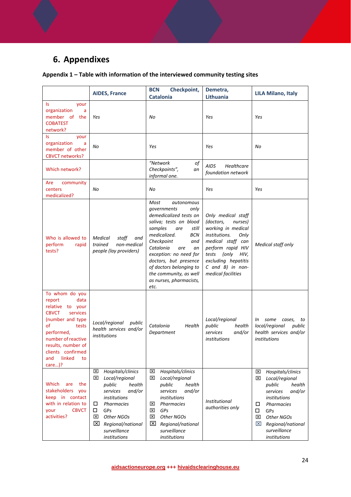## **6. Appendixes**

## **Appendix 1 – Table with information of the interviewed community testing sites**

|                                                                                                                                                                                                                                        | <b>AIDES, France</b>                                                                                                                                                                                                | <b>BCN</b><br>Checkpoint,<br><b>Catalonia</b>                                                                                                                                                                                                                                                                                             | Demetra,<br>Lithuania                                                                                                                                                                                                               | <b>LILA Milano, Italy</b>                                                                                                                                                                                                |
|----------------------------------------------------------------------------------------------------------------------------------------------------------------------------------------------------------------------------------------|---------------------------------------------------------------------------------------------------------------------------------------------------------------------------------------------------------------------|-------------------------------------------------------------------------------------------------------------------------------------------------------------------------------------------------------------------------------------------------------------------------------------------------------------------------------------------|-------------------------------------------------------------------------------------------------------------------------------------------------------------------------------------------------------------------------------------|--------------------------------------------------------------------------------------------------------------------------------------------------------------------------------------------------------------------------|
| ls.<br>your<br>organization<br>a<br>member of<br>the<br><b>COBATEST</b><br>network?                                                                                                                                                    | Yes                                                                                                                                                                                                                 | No                                                                                                                                                                                                                                                                                                                                        | Yes                                                                                                                                                                                                                                 | Yes                                                                                                                                                                                                                      |
| ls.<br>your<br>organization<br>a<br>member of other<br><b>CBVCT networks?</b>                                                                                                                                                          | No                                                                                                                                                                                                                  | Yes                                                                                                                                                                                                                                                                                                                                       | Yes                                                                                                                                                                                                                                 | No                                                                                                                                                                                                                       |
| Which network?                                                                                                                                                                                                                         |                                                                                                                                                                                                                     | "Network<br>оf<br>Checkpoints",<br>an<br>informal one.                                                                                                                                                                                                                                                                                    | <b>AIDS</b><br>Healthcare<br>foundation network                                                                                                                                                                                     |                                                                                                                                                                                                                          |
| community<br>Are<br>centers<br>medicalized?                                                                                                                                                                                            | No                                                                                                                                                                                                                  | No                                                                                                                                                                                                                                                                                                                                        | Yes                                                                                                                                                                                                                                 | Yes                                                                                                                                                                                                                      |
| Who is allowed to<br>perform<br>rapid<br>tests?                                                                                                                                                                                        | Medical<br>staff<br>and<br>trained<br>non-medical<br>people (lay providers)                                                                                                                                         | Most<br>autonomous<br>governments<br>only<br>demedicalized tests on<br>saliva; tests on blood<br>samples<br>still<br>are<br>medicalized.<br>BCN<br>Checkpoint<br>and<br>Catalonia<br>are<br>an<br>exception: no need for<br>doctors, but presence<br>of doctors belonging to<br>the community, as well<br>as nurses, pharmacists,<br>etc. | Only medical staff<br>(doctors,<br>nurses)<br>working in medical<br>institutions.<br>Only<br>medical staff can<br>perform rapid HIV<br>(only<br>tests<br>HIV,<br>excluding hepatitis<br>$C$ and $B$ ) in non-<br>medical facilities | Medical staff only                                                                                                                                                                                                       |
| To whom do you<br>data<br>report<br>relative<br>to your<br><b>CBVCT</b><br>services<br>(number and type<br>of<br>tests<br>performed,<br>number of reactive<br>results, number of<br>clients confirmed<br>linked<br>and<br>to<br>care)? | Local/regional<br>public<br>health services and/or<br>institutions                                                                                                                                                  | Catalonia<br>Health<br>Department                                                                                                                                                                                                                                                                                                         | Local/regional<br>public<br>health<br>and/or<br>services<br>institutions                                                                                                                                                            | some<br>In<br>cases,<br>to<br>local/regional<br>public<br>health services and/or<br>institutions                                                                                                                         |
| Which<br>the<br>are<br>stakeholders<br>you<br>keep in contact<br>with in relation to<br><b>CBVCT</b><br>your<br>activities?                                                                                                            | Hospitals/clinics<br>⊠<br>⊠<br>Local/regional<br>public<br>health<br>and/or<br>services<br>institutions<br>□<br>Pharmacies<br>GPs<br>□<br>⊠<br>Other NGOs<br>⊠<br>Regional/national<br>surveillance<br>institutions | Hospitals/clinics<br>⊠<br>図<br>Local/regional<br>public<br>health<br>and/or<br>services<br>institutions<br>⊠<br>Pharmacies<br>⊠<br>GPs<br>⊠<br>Other NGOs<br>⊠<br>Regional/national<br>surveillance<br>institutions                                                                                                                       | Institutional<br>authorities only                                                                                                                                                                                                   | Hospitals/clinics<br>⊠<br>⊠<br>Local/regional<br>public<br>health<br>and/or<br>services<br>institutions<br>П<br>Pharmacies<br>$\Box$<br>GPs<br>⊠<br>Other NGOs<br>区<br>Regional/national<br>surveillance<br>institutions |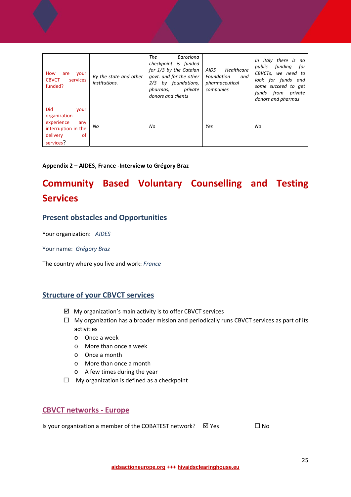| How<br>are<br>your<br><b>CBVCT</b><br>services<br>funded?                                              | By the state and other<br>institutions. | The<br><b>Barcelona</b><br>checkpoint is funded<br>for 1/3 by the Catalan<br>govt. and for the other<br>2/3 by foundations,<br>private<br>pharmas,<br>donors and clients | AIDS<br>Healthcare<br>Foundation<br>and<br>pharmaceutical<br>companies | In Italy there is no<br>fundina<br>public<br>for<br>CBVCTs, we need to<br>look for funds and<br>some succeed to get<br>funds from<br>private<br>donors and pharmas |
|--------------------------------------------------------------------------------------------------------|-----------------------------------------|--------------------------------------------------------------------------------------------------------------------------------------------------------------------------|------------------------------------------------------------------------|--------------------------------------------------------------------------------------------------------------------------------------------------------------------|
| Did<br>your<br>organization<br>experience<br>any<br>interruption in the<br>delivery<br>0f<br>services? | No                                      | No                                                                                                                                                                       | Yes                                                                    | No                                                                                                                                                                 |

#### **Appendix 2 – AIDES, France ‐Interview to Grégory Braz**

## **Community Based Voluntary Counselling and Testing Services**

### **Present obstacles and Opportunities**

Your organization: *AIDES*

Your name: *Grégory Braz*

The country where you live and work: *France*

#### **Structure of your CBVCT services**

- $\boxtimes$  My organization's main activity is to offer CBVCT services
- $\Box$  My organization has a broader mission and periodically runs CBVCT services as part of its activities
	- o Once a week
	- o More than once a week
	- o Once a month
	- o More than once a month
	- o A few times during the year
- $\Box$  My organization is defined as a checkpoint

### **CBVCT networks ‐ Europe**

Is your organization a member of the COBATEST network?  $\boxtimes$  Yes  $\Box$  No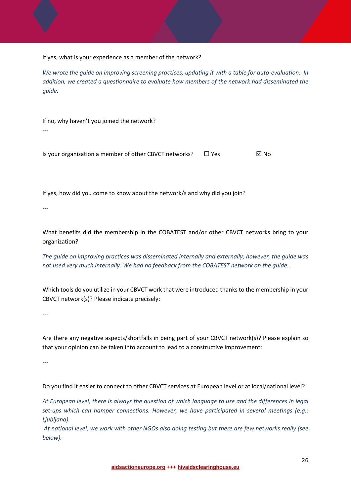If yes, what is your experience as a member of the network?

We wrote the guide on improving screening practices, updating it with a table for auto-evaluation. In *addition, we created a questionnaire to evaluate how members of the network had disseminated the guide.*

If no, why haven't you joined the network?

Is your organization a member of other CBVCT networks?  $\Box$  Yes  $\Box$  No

If yes, how did you come to know about the network/s and why did you join?

*‐‐‐* 

*‐‐‐* 

What benefits did the membership in the COBATEST and/or other CBVCT networks bring to your organization?

*The guide on improving practices was disseminated internally and externally; however, the guide was not used very much internally. We had no feedback from the COBATEST network on the guide…*

Which tools do you utilize in your CBVCT work that were introduced thanks to the membership in your CBVCT network(s)? Please indicate precisely:

*‐‐‐* 

Are there any negative aspects/shortfalls in being part of your CBVCT network(s)? Please explain so that your opinion can be taken into account to lead to a constructive improvement:

*‐‐‐* 

Do you find it easier to connect to other CBVCT services at European level or at local/national level?

At European level, there is always the question of which language to use and the differences in legal *set‐ups which can hamper connections. However, we have participated in several meetings (e.g.: Ljubljana).*

At national level, we work with other NGOs also doing testing but there are few networks really (see *below).*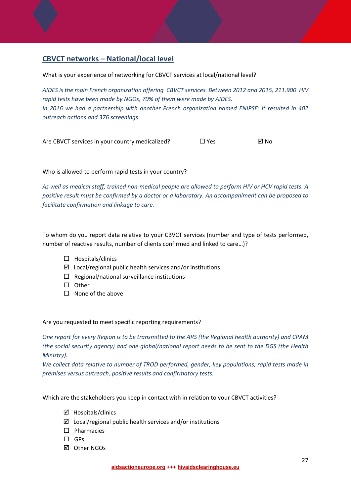### **CBVCT networks – National/local level**

What is your experience of networking for CBVCT services at local/national level?

*AIDES is the main French organization offering CBVCT services. Between 2012 and 2015, 211.900 HIV rapid tests have been made by NGOs, 70% of them were made by AIDES. In 2016 we had a partnership with another French organization named ENIPSE: it resulted in 402 outreach actions and 376 screenings.*

Are CBVCT services in your country medicalized?  $\Box$  Yes  $\Box$  No

Who is allowed to perform rapid tests in your country?

As well as medical staff, trained non-medical people are allowed to perform HIV or HCV rapid tests. A *positive result must be confirmed by a doctor or a laboratory. An accompaniment can be proposed to facilitate confirmation and linkage to care.* 

To whom do you report data relative to your CBVCT services (number and type of tests performed, number of reactive results, number of clients confirmed and linked to care…)?

- $\Box$  Hospitals/clinics
- $\boxtimes$  Local/regional public health services and/or institutions
- $\Box$  Regional/national surveillance institutions
- $\square$  Other
- $\Box$  None of the above

Are you requested to meet specific reporting requirements?

One report for every Region is to be transmitted to the ARS (the Regional health authority) and CPAM *(the social security agency) and one global/national report needs to be sent to the DGS (the Health Ministry).* 

*We collect data relative to number of TROD performed, gender, key populations, rapid tests made in premises versus outreach, positive results and confirmatory tests.*

Which are the stakeholders you keep in contact with in relation to your CBVCT activities?

- $\boxtimes$  Hospitals/clinics
- $\boxtimes$  Local/regional public health services and/or institutions
- $\Box$  Pharmacies
- $\square$  GPs
- Other NGOs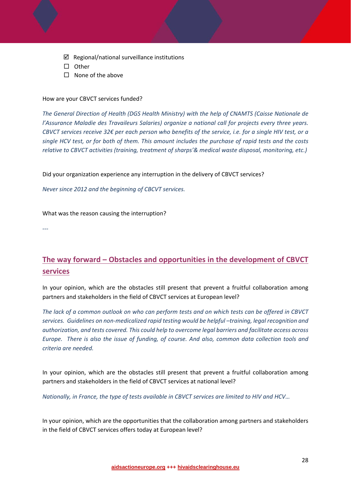- $\boxtimes$  Regional/national surveillance institutions
- $\square$  Other
- $\Box$  None of the above

#### How are your CBVCT services funded?

*The General Direction of Health (DGS Health Ministry) with the help of CNAMTS (Caisse Nationale de l'Assurance Maladie des Travaileurs Salaries) organize a national call for projects every three years.* CBVCT services receive 32 $\epsilon$  per each person who benefits of the service, i.e. for a single HIV test, or a single HCV test, or for both of them. This amount includes the purchase of rapid tests and the costs *relative to CBVCT activities (training, treatment of sharps'& medical waste disposal, monitoring, etc.)* 

Did your organization experience any interruption in the delivery of CBVCT services?

*Never since 2012 and the beginning of CBCVT services.*

What was the reason causing the interruption?

*‐‐‐* 

### **The way forward – Obstacles and opportunities in the development of CBVCT services**

In your opinion, which are the obstacles still present that prevent a fruitful collaboration among partners and stakeholders in the field of CBVCT services at European level?

The lack of a common outlook on who can perform tests and on which tests can be offered in CBVCT *services. Guidelines on non‐medicalized rapid testing would be helpful –training, legal recognition and authorization, and tests covered. This could help to overcome legal barriers and facilitate access across Europe. There is also the issue of funding, of course. And also, common data collection tools and criteria are needed.*

In your opinion, which are the obstacles still present that prevent a fruitful collaboration among partners and stakeholders in the field of CBVCT services at national level?

*Nationally, in France, the type of tests available in CBVCT services are limited to HIV and HCV…* 

In your opinion, which are the opportunities that the collaboration among partners and stakeholders in the field of CBVCT services offers today at European level?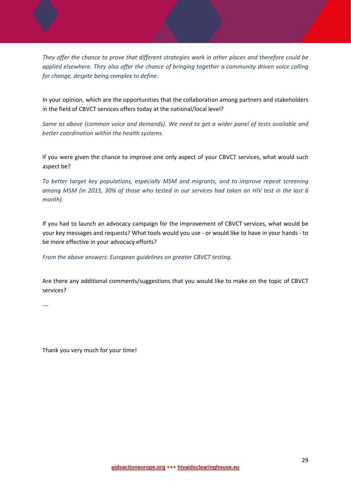*They offer the chance to prove that different strategies work in other places and therefore could be applied elsewhere. They also offer the chance of bringing together a community driven voice calling for change, despite being complex to define.*

In your opinion, which are the opportunities that the collaboration among partners and stakeholders in the field of CBVCT services offers today at the national/local level?

*Same as above (common voice and demands). We need to get a wider panel of tests available and better coordination within the health systems.*

If you were given the chance to improve one only aspect of your CBVCT services, what would such aspect be?

*To better target key populations, especially MSM and migrants, and to improve repeat screening* among MSM (in 2015, 30% of those who tested in our services had taken an HIV test in the last 6  $month$ ).

If you had to launch an advocacy campaign for the improvement of CBVCT services, what would be your key messages and requests? What tools would you use ‐ or would like to have in your hands ‐ to be more effective in your advocacy efforts?

*From the above answers: European guidelines on greater CBVCT testing.* 

Are there any additional comments/suggestions that you would like to make on the topic of CBVCT services?

*‐‐‐* 

Thank you very much for your time!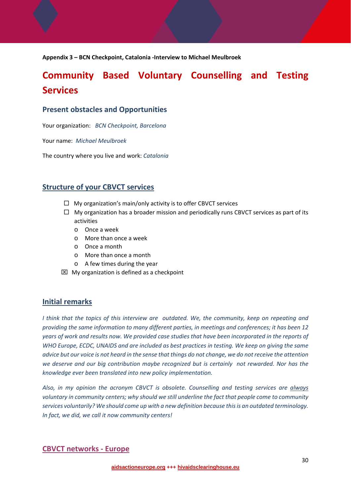**Appendix 3 – BCN Checkpoint, Catalonia ‐Interview to Michael Meulbroek**

## **Community Based Voluntary Counselling and Testing Services**

#### **Present obstacles and Opportunities**

Your organization: *BCN Checkpoint, Barcelona*

Your name: *Michael Meulbroek*

The country where you live and work: *Catalonia*

### **Structure of your CBVCT services**

- $\Box$  My organization's main/only activity is to offer CBVCT services
- $\Box$  My organization has a broader mission and periodically runs CBVCT services as part of its activities
	- o Once a week
	- o More than once a week
	- o Once a month
	- o More than once a month
	- o A few times during the year
- $\boxtimes$  My organization is defined as a checkpoint

#### **Initial remarks**

*I think that the topics of this interview are outdated. We, the community, keep on repeating and providing the same information to many different parties, in meetings and conferences; it has been 12* years of work and results now. We provided case studies that have been incorporated in the reports of *WHO Europe, ECDC, UNAIDS and are included as best practices in testing. We keep on giving the same* advice but our voice is not heard in the sense that things do not change, we do not receive the attention *we deserve and our big contribution maybe recognized but is certainly not rewarded. Nor has the knowledge ever been translated into new policy implementation.*

*Also, in my opinion the acronym CBVCT is obsolete. Counselling and testing services are always voluntary in community centers; why should we still underline the fact that people come to community services voluntarily? We should come up with a new definition because thisis an outdated terminology. In fact, we did, we call it now community centers!*

#### **CBVCT networks ‐ Europe**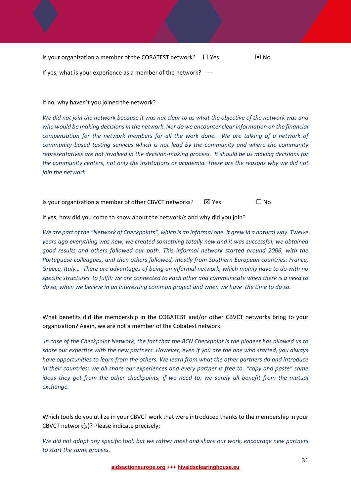Is your organization a member of the COBATEST network?  $\Box$  Yes  $\boxtimes$  No If yes, what is your experience as a member of the network? ‐‐‐

#### If no, why haven't you joined the network?

We did not join the network because it was not clear to us what the objective of the network was and *who would be making decisionsin the network. Nor do we encounter clear information on the financial compensation for the network members for all the work done. We are talking of a network of community based testing services which is not lead by the community and where the community* representatives are not involved in the decision-making process. It should be us making decisions for *the community centers, not only the institutions or academia. These are the reasons why we did not join the network.*

Is your organization a member of other CBVCT networks?  $\boxtimes$  Yes  $\Box$  No

If yes, how did you come to know about the network/s and why did you join?

We are part of the "Network of Checkpoints", which is an informal one. It grew in a natural way. Twelve *years ago everything was new, we created something totally new and it was successful; we obtained good results and others followed our path. This informal network started around 2006, with the Portuguese colleagues, and then others followed, mostly from Southern European countries: France, Greece, Italy… There are advantages of being an informal network, which mainly have to do with no* specific structures to fulfil: we are connected to each other and communicate when there is a need to do so, when we believe in an interesting common project and when we have the time to do so.

What benefits did the membership in the COBATEST and/or other CBVCT networks bring to your organization? Again, we are not a member of the Cobatest network.

In case of the Checkpoint Network, the fact that the BCN Checkpoint is the pioneer has allowed us to share our expertise with the new partners. However, even if you are the one who started, you always *have opportunities to learn from the others. We learn from what the other partners do and introduce* in their countries; we all share our experiences and every partner is free to "copy and paste" some *ideas they get from the other checkpoints, if we need to; we surely all benefit from the mutual exchange.*

Which tools do you utilize in your CBVCT work that were introduced thanks to the membership in your CBVCT network(s)? Please indicate precisely:

*We did not adopt any specific tool, but we rather meet and share our work, encourage new partners to start the same process.*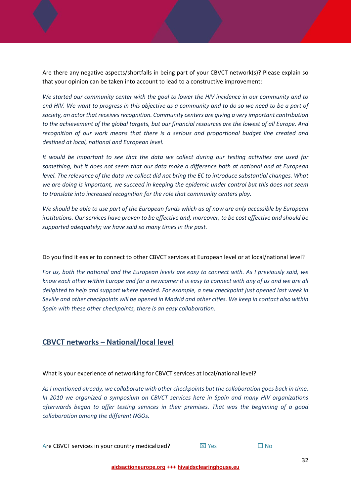Are there any negative aspects/shortfalls in being part of your CBVCT network(s)? Please explain so that your opinion can be taken into account to lead to a constructive improvement:

*We started our community center with the goal to lower the HIV incidence in our community and to* end HIV. We want to progress in this objective as a community and to do so we need to be a part of *society, an actor that receivesrecognition. Community centers are giving a very important contribution* to the achievement of the global targets, but our financial resources are the lowest of all Europe. And *recognition of our work means that there is a serious and proportional budget line created and destined at local, national and European level.*

*It would be important to see that the data we collect during our testing activities are used for something, but it does not seem that our data make a difference both at national and at European* level. The relevance of the data we collect did not bring the EC to introduce substantial changes. What *we are doing is important, we succeed in keeping the epidemic under control but this does not seem to translate into increased recognition for the role that community centers play.* 

We should be able to use part of the European funds which as of now are only accessible by European *institutions. Our services have proven to be effective and, moreover, to be cost effective and should be supported adequately; we have said so many times in the past.* 

Do you find it easier to connect to other CBVCT services at European level or at local/national level?

For us, both the national and the European levels are easy to connect with. As I previously said, we know each other within Europe and for a newcomer it is easy to connect with any of us and we are all *delighted to help and support where needed. For example, a new checkpoint just opened last week in* Seville and other checkpoints will be opened in Madrid and other cities. We keep in contact also within *Spain with these other checkpoints, there is an easy collaboration.*

#### **CBVCT networks – National/local level**

What is your experience of networking for CBVCT services at local/national level?

*AsI mentioned already, we collaborate with other checkpoints but the collaboration goes back in time. In 2010 we organized a symposium on CBVCT services here in Spain and many HIV organizations afterwards began to offer testing services in their premises. That was the beginning of a good collaboration among the different NGOs.*

Are CBVCT services in your country medicalized?  $\boxtimes$  Yes  $\Box$  No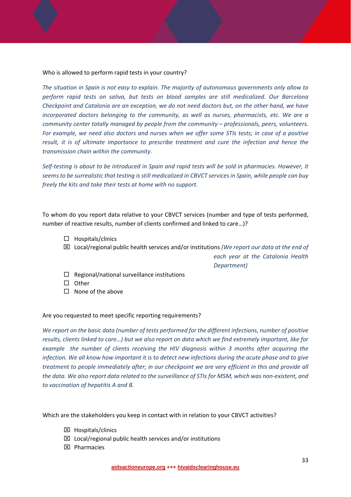Who is allowed to perform rapid tests in your country?

*The situation in Spain is not easy to explain. The majority of autonomous governments only allow to perform rapid tests on saliva, but tests on blood samples are still medicalized. Our Barcelona Checkpoint and Catalonia are an exception, we do not need doctors but, on the other hand, we have incorporated doctors belonging to the community, as well as nurses, pharmacists, etc. We are a community center totally managed by people from the community – professionals, peers, volunteers.* For example, we need also doctors and nurses when we offer some STIs tests; in case of a positive *result, it is of ultimate importance to prescribe treatment and cure the infection and hence the transmission chain within the community.*

Self-testing is about to be introduced in Spain and rapid tests will be sold in pharmacies. However, it seems to be surrealistic that testing is still medicalized in CBVCT services in Spain, while people can buy *freely the kits and take their tests at home with no support.*

To whom do you report data relative to your CBVCT services (number and type of tests performed, number of reactive results, number of clients confirmed and linked to care…)?

- $\Box$  Hospitals/clinics
- Local/regional public health services and/or institutions *(We report our data at the end of*

*each year at the Catalonia Health Department)*

- $\Box$  Regional/national surveillance institutions
- $\square$  Other
- $\Box$  None of the above

#### Are you requested to meet specific reporting requirements?

*We report on the basic data (number of tests performed for the different infections, number of positive* results, clients linked to care...) but we also report on data which we find extremely important, like for *example the number of clients receiving the HIV diagnosis within 3 months after acquiring the* infection. We all know how important it is to detect new infections during the acute phase and to give *treatment to people immediately after; in our checkpoint we are very efficient in this and provide all* the data. We also report data related to the surveillance of STIs for MSM, which was non-existent, and *to vaccination of hepatitis A and B.*

Which are the stakeholders you keep in contact with in relation to your CBVCT activities?

- **区** Hospitals/clinics
- $\boxtimes$  Local/regional public health services and/or institutions
- $\boxtimes$  Pharmacies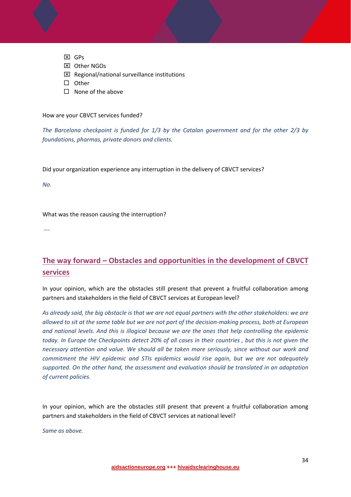- **区**GPs
- Other NGOs
- $\boxtimes$  Regional/national surveillance institutions
- $\square$  Other
- $\Box$  None of the above

How are your CBVCT services funded?

*The Barcelona checkpoint is funded for 1/3 by the Catalan government and for the other 2/3 by foundations, pharmas, private donors and clients.*

Did your organization experience any interruption in the delivery of CBVCT services?

*No.*

What was the reason causing the interruption?

 $-$ 

### **The way forward – Obstacles and opportunities in the development of CBVCT services**

In your opinion, which are the obstacles still present that prevent a fruitful collaboration among partners and stakeholders in the field of CBVCT services at European level?

As already said, the big obstacle is that we are not equal partners with the other stakeholders: we are allowed to sit at the same table but we are not part of the decision-making process, both at European *and national levels. And this is illogical because we are the ones that help controlling the epidemic* today. In Europe the Checkpoints detect 20% of all cases in their countries, but this is not given the *necessary attention and value. We should all be taken more seriously, since without our work and commitment the HIV epidemic and STIs epidemics would rise again, but we are not adequately supported. On the other hand, the assessment and evaluation should be translated in an adaptation of current policies.* 

In your opinion, which are the obstacles still present that prevent a fruitful collaboration among partners and stakeholders in the field of CBVCT services at national level?

*Same as above.*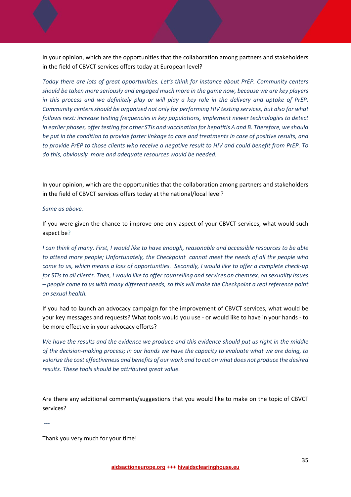In your opinion, which are the opportunities that the collaboration among partners and stakeholders in the field of CBVCT services offers today at European level?

*Today there are lots of great opportunities. Let's think for instance about PrEP. Community centers should be taken more seriously and engaged much more in the game now, because we are key players* in this process and we definitely play or will play a key role in the delivery and uptake of PrEP. *Community centers should be organized not only for performing HIV testing services, but also for what follows next: increase testing frequencies in key populations, implement newer technologies to detect* in earlier phases, offer testing for other STIs and vaccination for hepatitis A and B. Therefore, we should be put in the condition to provide faster linkage to care and treatments in case of positive results, and to provide PrEP to those clients who receive a negative result to HIV and could benefit from PrEP. To *do this, obviously more and adequate resources would be needed.*

In your opinion, which are the opportunities that the collaboration among partners and stakeholders in the field of CBVCT services offers today at the national/local level?

#### *Same as above.*

If you were given the chance to improve one only aspect of your CBVCT services, what would such aspect be?

I can think of many. First, I would like to have enough, reasonable and accessible resources to be able *to attend more people; Unfortunately, the Checkpoint cannot meet the needs of all the people who* come to us, which means a loss of opportunities. Secondly, I would like to offer a complete check-up for STIs to all clients. Then, I would like to offer counselling and services on chemsex, on sexuality issues - people come to us with many different needs, so this will make the Checkpoint a real reference point *on sexual health.* 

If you had to launch an advocacy campaign for the improvement of CBVCT services, what would be your key messages and requests? What tools would you use ‐ or would like to have in your hands ‐ to be more effective in your advocacy efforts?

We have the results and the evidence we produce and this evidence should put us right in the middle of the decision-making process; in our hands we have the capacity to evaluate what we are doing, to valorize the cost effectiveness and benefits of our work and to cut on what does not produce the desired *results. These tools should be attributed great value.*

Are there any additional comments/suggestions that you would like to make on the topic of CBVCT services?

*‐‐‐* 

Thank you very much for your time!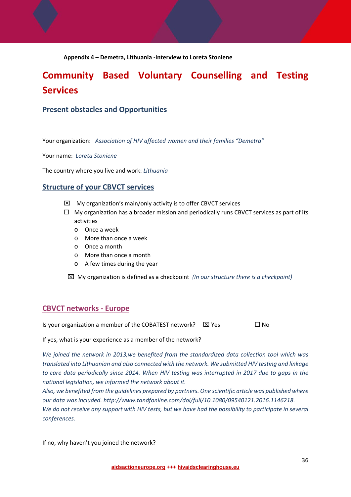#### **Appendix 4 – Demetra, Lithuania ‐Interview to Loreta Stoniene**

## **Community Based Voluntary Counselling and Testing Services**

#### **Present obstacles and Opportunities**

Your organization: *Association of HIV affected women and their families "Demetra"*

Your name: *Loreta Stoniene*

The country where you live and work: *Lithuania*

#### **Structure of your CBVCT services**

- $\boxtimes$  My organization's main/only activity is to offer CBVCT services
- $\Box$  My organization has a broader mission and periodically runs CBVCT services as part of its activities
	- o Once a week
	- o More than once a week
	- o Once a month
	- o More than once a month
	- o A few times during the year
	- My organization is defined as a checkpoint *(In our structure there is a checkpoint)*

#### **CBVCT networks ‐ Europe**

Is your organization a member of the COBATEST network?  $\boxtimes$  Yes  $\Box$  No

If yes, what is your experience as a member of the network?

*We joined the network in 2013,we benefited from the standardized data collection tool which was translated into Lithuanian and also connected with the network. We submitted HIV testing and linkage to care data periodically since 2014. When HIV testing was interrupted in 2017 due to gaps in the national legislation, we informed the network about it.* 

*Also, we benefited from the guidelines prepared by partners. One scientific article was published where our data was included. http://www.tandfonline.com/doi/full/10.1080/09540121.2016.1146218.* We do not receive any support with HIV tests, but we have had the possibility to participate in several  $conferences.$ 

If no, why haven't you joined the network?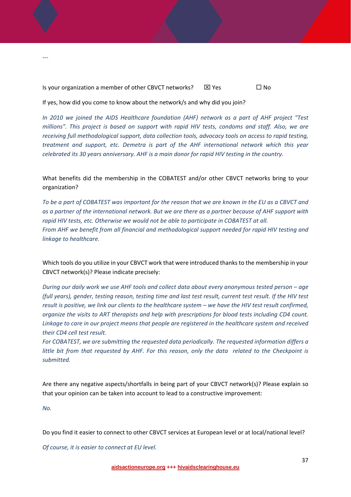Is your organization a member of other CBVCT networks?  $\boxtimes$  Yes  $\Box$  No

If yes, how did you come to know about the network/s and why did you join?

*In 2010 we joined the AIDS Healthcare foundation (AHF) network as a part of AHF project "Test millions". This project is based on support with rapid HIV tests, condoms and staff. Also, we are receiving full methodological support, data collection tools, advocacy tools on access to rapid testing, treatment and support, etc. Demetra is part of the AHF international network which this year celebrated its 30 years anniversary. AHF is a main donor for rapid HIV testing in the country.* 

What benefits did the membership in the COBATEST and/or other CBVCT networks bring to your organization?

To be a part of COBATEST was important for the reason that we are known in the EU as a CBVCT and as a partner of the international network. But we are there as a partner because of AHF support with *rapid HIV tests, etc. Otherwise we would not be able to participate in COBATEST at all. From AHF we benefit from all financial and methodological support needed for rapid HIV testing and linkage to healthcare.* 

Which tools do you utilize in your CBVCT work that were introduced thanks to the membership in your CBVCT network(s)? Please indicate precisely:

*During our daily work we use AHF tools and collect data about every anonymous tested person – age* (full years), gender, testing reason, testing time and last test result, current test result. If the HIV test result is positive, we link our clients to the healthcare system - we have the HIV test result confirmed, *organize the visits to ART therapists and help with prescriptions for blood tests including CD4 count. Linkage to care in our project means that people are registered in the healthcare system and received their CD4 cell test result.* 

*For COBATEST, we are submitting the requested data periodically. The requested information differs a* little bit from that requested by AHF. For this reason, only the data related to the Checkpoint is *submitted.* 

Are there any negative aspects/shortfalls in being part of your CBVCT network(s)? Please explain so that your opinion can be taken into account to lead to a constructive improvement:

*No.*

*‐‐‐* 

Do you find it easier to connect to other CBVCT services at European level or at local/national level?

*Of course, it is easier to connect at EU level.*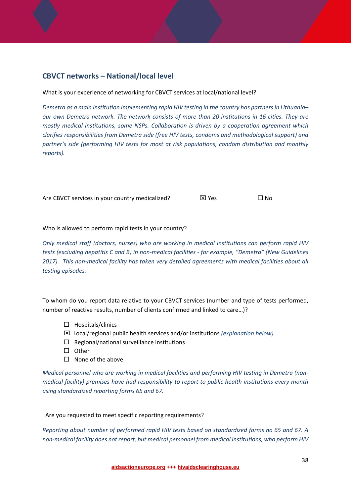### **CBVCT networks – National/local level**

#### What is your experience of networking for CBVCT services at local/national level?

*Demetra as a main institution implementing rapid HIV testing in the country has partnersin Lithuania– our own Demetra network. The network consists of more than 20 institutions in 16 cities. They are mostly medical institutions, some NSPs. Collaboration is driven by a cooperation agreement which clarifies responsibilities from Demetra side (free HIV tests, condoms and methodological support) and partner's side (performing HIV tests for most at risk populations, condom distribution and monthly*  $reports$ ).

Are CBVCT services in your country medicalized?  $\boxtimes$  Yes  $\Box$  No

#### Who is allowed to perform rapid tests in your country?

*Only medical staff (doctors, nurses) who are working in medical institutions can perform rapid HIV tests (excluding hepatitis C and B) in non‐medical facilities ‐ for example, "Demetra" (New Guidelines 2017). This non‐medical facility has taken very detailed agreements with medical facilities about all testing episodes.* 

To whom do you report data relative to your CBVCT services (number and type of tests performed, number of reactive results, number of clients confirmed and linked to care…)?

- $\Box$  Hospitals/clinics
- Local/regional public health services and/or institutions *(explanation below)*
- $\Box$  Regional/national surveillance institutions
- $\square$  Other
- $\Box$  None of the above

*Medical personnel who are working in medical facilities and performing HIV testing in Demetra (non‐ medical facility) premises have had responsibility to report to public health institutions every month using standardized reporting forms 65 and 67.*

#### Are you requested to meet specific reporting requirements?

*Reporting about number of performed rapid HIV tests based on standardized forms no 65 and 67. A non‐medical facility does not report, but medical personnel from medical institutions, who perform HIV*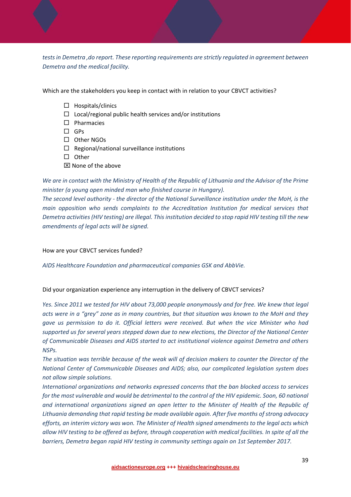*tests in Demetra ,do report. These reporting requirements are strictly regulated in agreement between Demetra and the medical facility.* 

Which are the stakeholders you keep in contact with in relation to your CBVCT activities?

- $\Box$  Hospitals/clinics
- $\Box$  Local/regional public health services and/or institutions
- $\square$  Pharmacies
- $\square$  GPs
- Other NGOs
- $\Box$  Regional/national surveillance institutions
- $\square$  Other
- $\boxtimes$  None of the above

We are in contact with the Ministry of Health of the Republic of Lithuania and the Advisor of the Prime *minister (a young open minded man who finished course in Hungary).* 

*The second level authority ‐ the director of the National Surveillance institution under the MoH, is the main opposition who sends complaints to the Accreditation Institution for medical services that* Demetra activities (HIV testing) are illegal. This institution decided to stop rapid HIV testing till the new *amendments of legal acts will be signed.*

How are your CBVCT services funded?

*AIDS Healthcare Foundation and pharmaceutical companies GSK and AbbVie.*

Did your organization experience any interruption in the delivery of CBVCT services?

*Yes. Since 2011 we tested for HIV about 73,000 people anonymously and for free. We knew that legal* acts were in a "grey" zone as in many countries, but that situation was known to the MoH and they *gave us permission to do it. Official letters were received. But when the vice Minister who had supported us for several years stepped down due to new elections, the Director of the National Center of Communicable Diseases and AIDS started to act institutional violence against Demetra and others NSPs.* 

The situation was terrible because of the weak will of decision makers to counter the Director of the *National Center of Communicable Diseases and AIDS; also, our complicated legislation system does not allow simple solutions.*

*International organizations and networks expressed concerns that the ban blocked access to services* for the most vulnerable and would be detrimental to the control of the HIV epidemic. Soon, 60 national *and international organizations signed an open letter to the Minister of Health of the Republic of Lithuania demanding that rapid testing be made available again. After five months of strong advocacy efforts, an interim victory was won. The Minister of Health signed amendments to the legal acts which* allow HIV testing to be offered as before, through cooperation with medical facilities. In spite of all the *barriers, Demetra began rapid HIV testing in community settings again on 1st September 2017.*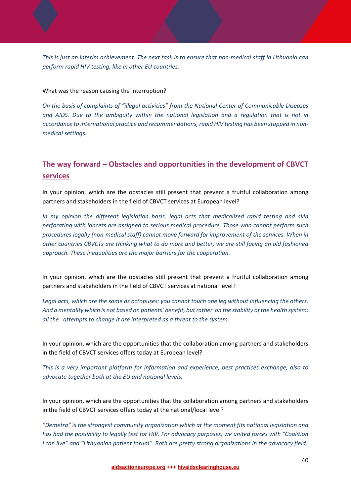This is just an interim achievement. The next task is to ensure that non-medical staff in Lithuania can *perform rapid HIV testing, like in other EU countries.* 

What was the reason causing the interruption?

*On the basis of complaints of "illegal activities" from the National Center of Communicable Diseases and AIDS. Due to the ambiguity within the national legislation and a regulation that is not in accordance to international practice and recommendations, rapid HIV testing has been stopped in non‐ medical settings.*

### **The way forward – Obstacles and opportunities in the development of CBVCT services**

In your opinion, which are the obstacles still present that prevent a fruitful collaboration among partners and stakeholders in the field of CBVCT services at European level?

*In my opinion the different legislation basis, legal acts that medicalized rapid testing and skin perforating with lancets are assigned to serious medical procedure. Those who cannot perform such procedures legally (non‐medical staff) cannot move forward for improvement of the services. When in* other countries CBVCTs are thinking what to do more and better, we are still facing an old fashioned *approach. These inequalities are the major barriers for the cooperation.*

In your opinion, which are the obstacles still present that prevent a fruitful collaboration among partners and stakeholders in the field of CBVCT services at national level?

Legal acts, which are the same as octopuses: you cannot touch one leg without influencing the others. And a mentality which is not based on patients' benefit, but rather on the stability of the health system: *all the attempts to change it are interpreted as a threat to the system.*

In your opinion, which are the opportunities that the collaboration among partners and stakeholders in the field of CBVCT services offers today at European level?

*This is a very important platform for information and experience, best practices exchange, also to advocate together both at the EU and national levels.* 

In your opinion, which are the opportunities that the collaboration among partners and stakeholders in the field of CBVCT services offers today at the national/local level?

*"Demetra" is the strongest community organization which at the moment fits national legislation and has had the possibility to legally test for HIV. For advocacy purposes, we united forces with "Coalition I can live" and "Lithuanian patient forum". Both are pretty strong organizations in the advocacy field.*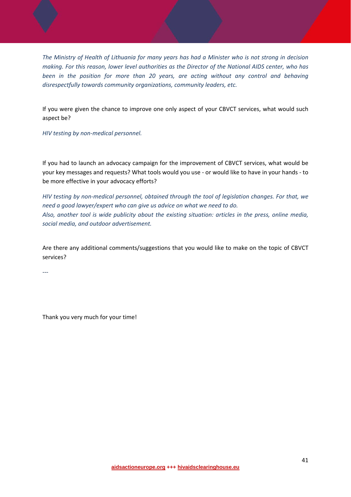The Ministry of Health of Lithuania for many years has had a Minister who is not strong in decision *making. For this reason, lower level authorities as the Director of the National AIDS center, who has been in the position for more than 20 years, are acting without any control and behaving disrespectfully towards community organizations, community leaders, etc.* 

If you were given the chance to improve one only aspect of your CBVCT services, what would such aspect be?

*HIV testing by non‐medical personnel.*

If you had to launch an advocacy campaign for the improvement of CBVCT services, what would be your key messages and requests? What tools would you use ‐ or would like to have in your hands ‐ to be more effective in your advocacy efforts?

*HIV testing by non‐medical personnel, obtained through the tool of legislation changes. For that, we need a good lawyer/expert who can give us advice on what we need to do. Also, another tool is wide publicity about the existing situation: articles in the press, online media, social media, and outdoor advertisement.*

Are there any additional comments/suggestions that you would like to make on the topic of CBVCT services?

‐‐‐

Thank you very much for your time!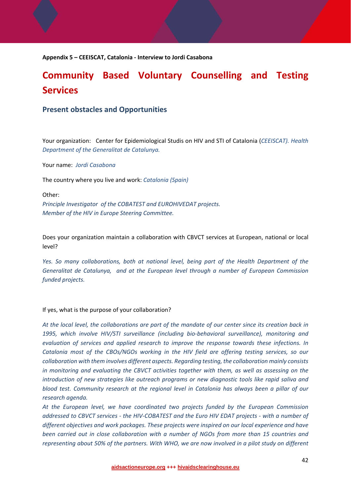**Appendix 5 – CEEISCAT, Catalonia ‐ Interview to Jordi Casabona**

## **Community Based Voluntary Counselling and Testing Services**

#### **Present obstacles and Opportunities**

Your organization: Center for Epidemiological Studis on HIV and STI of Catalonia (*CEEISCAT). Health Department of the Generalitat de Catalunya.* 

Your name: *Jordi Casabona*

The country where you live and work: *Catalonia (Spain)*

Other:

*Principle Investigator of the COBATEST and EUROHIVEDAT projects. Member of the HIV in Europe Steering Committee.*

Does your organization maintain a collaboration with CBVCT services at European, national or local level?

*Yes. So many collaborations, both at national level, being part of the Health Department of the Generalitat de Catalunya, and at the European level through a number of European Commission funded projects.* 

#### If yes, what is the purpose of your collaboration?

At the local level, the collaborations are part of the mandate of our center since its creation back in *1995, which involve HIV/STI surveillance (including bio‐behavioral surveillance), monitoring and evaluation of services and applied research to improve the response towards these infections. In Catalonia most of the CBOs/NGOs working in the HIV field are offering testing services, so our collaboration with them involves different aspects. Regarding testing, the collaboration mainly consists in monitoring and evaluating the CBVCT activities together with them, as well as assessing on the introduction of new strategies like outreach programs or new diagnostic tools like rapid saliva and blood test. Community research at the regional level in Catalonia has always been a pillar of our research agenda.*

*At the European level, we have coordinated two projects funded by the European Commission* addressed to CBVCT services - the HIV-COBATEST and the Euro HIV EDAT projects - with a number of *different objectives and work packages. These projects were inspired on our local experience and have been carried out in close collaboration with a number of NGOs from more than 15 countries and* representing about 50% of the partners. With WHO, we are now involved in a pilot study on different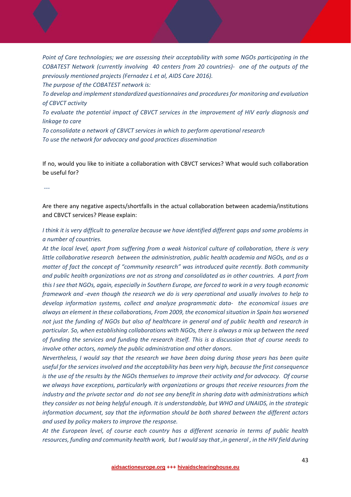*Point of Care technologies; we are assessing their acceptability with some NGOs participating in the COBATEST Network (currently involving 40 centers from 20 countries)‐ one of the outputs of the previously mentioned projects (Fernadez L et al, AIDS Care 2016).*

*The purpose of the COBATEST network is:* 

*To develop and implement standardized questionnaires and procedures for monitoring and evaluation of CBVCT activity* 

*To evaluate the potential impact of CBVCT services in the improvement of HIV early diagnosis and linkage to care* 

*To consolidate a network of CBVCT services in which to perform operational research To use the network for advocacy and good practices dissemination*

If no, would you like to initiate a collaboration with CBVCT services? What would such collaboration be useful for?

 *‐‐‐* 

Are there any negative aspects/shortfalls in the actual collaboration between academia/institutions and CBVCT services? Please explain:

I think it is very difficult to generalize because we have identified different gaps and some problems in *a number of countries.* 

*At the local level, apart from suffering from a weak historical culture of collaboration, there is very little collaborative research between the administration, public health academia and NGOs, and as a matter of fact the concept of "community research" was introduced quite recently. Both community* and public health organizations are not as strong and consolidated as in other countries. A part from this I see that NGOs, again, especially in Southern Europe, are forced to work in a very tough economic *framework and ‐even though the research we do is very operational and usually involves to help to develop information systems, collect and analyze programmatic data‐ the economical issues are always an element in these collaborations, From 2009, the economicalsituation in Spain has worsened* not just the funding of NGOs but also of healthcare in general and of public health and research in *particular. So, when establishing collaborations with NGOs, there is always a mix up between the need* of funding the services and funding the research itself. This is a discussion that of course needs to *involve other actors, namely the public administration and other donors.* 

*Nevertheless, I would say that the research we have been doing during those years has been quite useful for the servicesinvolved and the acceptability has been very high, because the first consequence* is the use of the results by the NGOs themselves to improve their activity and for advocacy. Of course *we always have exceptions, particularly with organizations or groups that receive resources from the* industry and the private sector and do not see any benefit in sharing data with administrations which *they consider as not being helpful enough. It is understandable, but WHO and UNAIDS, in the strategic information document, say that the information should be both shared between the different actors and used by policy makers to improve the response.* 

*At the European level, of course each country has a different scenario in terms of public health* resources, funding and community health work, but I would say that, in general, in the HIV field during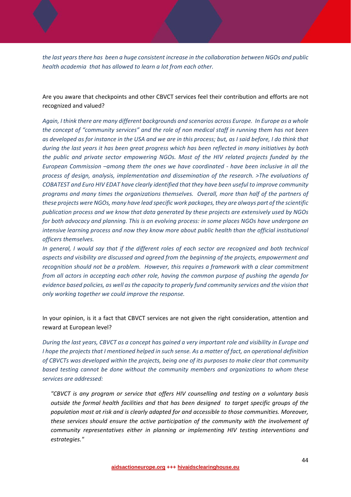the last years there has been a huge consistent increase in the collaboration between NGOs and public *health academia that has allowed to learn a lot from each other.* 

Are you aware that checkpoints and other CBVCT services feel their contribution and efforts are not recognized and valued?

Again, I think there are many different backgrounds and scenarios across Europe. In Europe as a whole *the concept of "community services" and the role of non medical staff in running them has not been* as developed as for instance in the USA and we are in this process; but, as I said before, I do think that during the last years it has been great progress which has been reflected in many initiatives by both *the public and private sector empowering NGOs. Most of the HIV related projects funded by the European Commission –among them the ones we have coordinated ‐ have been inclusive in all the process of design, analysis, implementation and dissemination of the research. >The evaluations of COBATEST and Euro HIV EDAT have clearly identified that they have been useful to improve community programs and many times the organizations themselves. Overall, more than half of the partners of these projects were NGOs, many have lead specific work packages, they are always part of the scientific publication process and we know that data generated by these projects are extensively used by NGOs for both advocacy and planning. This is an evolving process: in some places NGOs have undergone an intensive learning process and now they know more about public health than the official institutional officers themselves.* 

In general, I would say that if the different roles of each sector are recognized and both technical *aspects and visibility are discussed and agreed from the beginning of the projects, empowerment and recognition should not be a problem. However, this requires a framework with a clear commitment from all actors in accepting each other role, having the common purpose of pushing the agenda for evidence based policies, as well asthe capacity to properly fund community services and the vision that only working together we could improve the response.* 

In your opinion, is it a fact that CBVCT services are not given the right consideration, attention and reward at European level?

During the last years, CBVCT as a concept has gained a very important role and visibility in Europe and I hope the projects that I mentioned helped in such sense. As a matter of fact, an operational definition *of CBVCTs was developed within the projects, being one of its purposes to make clear that community based testing cannot be done without the community members and organizations to whom these services are addressed:* 

*"CBVCT is any program or service that offers HIV counselling and testing on a voluntary basis outside the formal health facilities and that has been designed to target specific groups of the population most at risk and is clearly adapted for and accessible to those communities. Moreover, these services should ensure the active participation of the community with the involvement of community representatives either in planning or implementing HIV testing interventions and estrategies."*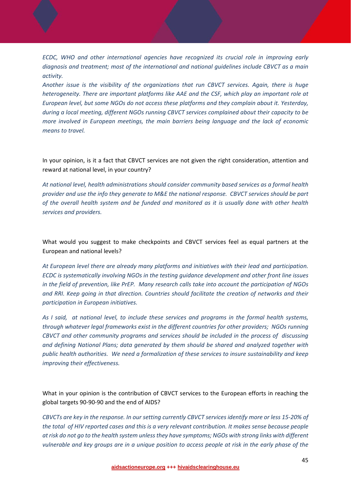*ECDC, WHO and other international agencies have recognized its crucial role in improving early diagnosis and treatment; most of the international and national guidelines include CBVCT as a main activity.* 

*Another issue is the visibility of the organizations that run CBVCT services. Again, there is huge heterogeneity. There are important platforms like AAE and the CSF, which play an important role at European level, but some NGOs do not access these platforms and they complain about it. Yesterday, during a local meeting, different NGOs running CBVCT services complained about their capacity to be more involved in European meetings, the main barriers being language and the lack of economic means to travel.*

In your opinion, is it a fact that CBVCT services are not given the right consideration, attention and reward at national level, in your country?

*At national level, health administrations should consider community based services as a formal health* provider and use the info they generate to M&E the national response. CBVCT services should be part *of the overall health system and be funded and monitored as it is usually done with other health services and providers.* 

What would you suggest to make checkpoints and CBVCT services feel as equal partners at the European and national levels?

*At European level there are already many platforms and initiatives with their lead and participation. ECDC is systematically involving NGOs in the testing guidance development and other front line issues* in the field of prevention, like PrEP. Many research calls take into account the participation of NGOs *and RRI. Keep going in that direction. Countries should facilitate the creation of networks and their participation in European initiatives.*

As I said, at national level, to include these services and programs in the formal health systems, *through whatever legal frameworks exist in the different countries for other providers; NGOs running CBVCT and other community programs and services should be included in the process of discussing and defining National Plans; data generated by them should be shared and analyzed together with public health authorities. We need a formalization of these services to insure sustainability and keep improving their effectiveness.* 

What in your opinion is the contribution of CBVCT services to the European efforts in reaching the global targets 90‐90‐90 and the end of AIDS?

CBVCTs are key in the response. In our setting currently CBVCT services identify more or less 15-20% of the total of HIV reported cases and this is a very relevant contribution. It makes sense because people at risk do not go to the health system unless they have symptoms; NGOs with strong links with different vulnerable and key groups are in a unique position to access people at risk in the early phase of the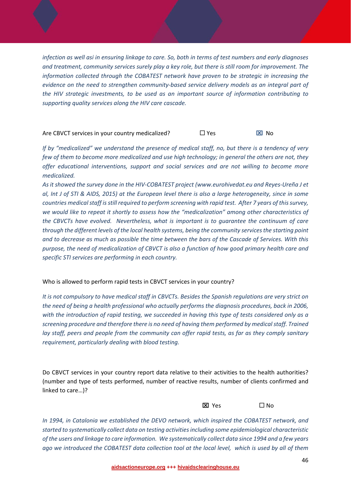infection as well asi in ensuring linkage to care. So, both in terms of test numbers and early diagnoses *and treatment, community services surely play a key role, but there is still room for improvement. The information collected through the COBATEST network have proven to be strategic in increasing the evidence on the need to strengthen community‐based service delivery models as an integral part of the HIV strategic investments, to be used as an important source of information contributing to supporting quality services along the HIV care cascade.* 

#### Are CBVCT services in your country medicalized?  $\Box$  Yes  $\Box$  No

If by "medicalized" we understand the presence of medical staff, no, but there is a tendency of very few of them to become more medicalized and use high technology; in general the others are not, they *offer educational interventions, support and social services and are not willing to become more*  $medicalized$ *.* 

As it showed the survey done in the HIV-COBATEST project (www.eurohivedat.eu and Reyes-Ureña J et al, Int J of STI & AIDS, 2015) at the European level there is also a large heterogeneity, since in some *countries medicalstaff isstill required to perform screening with rapid test. After 7 years of thissurvey, we would like to repeat it shortly to assess how the "medicalization" among other characteristics of the CBVCTs have evolved. Nevertheless, what is important is to guarantee the continuum of care through the different levels of the local health systems, being the community servicesthe starting point* and to decrease as much as possible the time between the bars of the Cascade of Services. With this purpose, the need of medicalization of CBVCT is also a function of how good primary health care and *specific STI services are performing in each country.* 

#### Who is allowed to perform rapid tests in CBVCT services in your country?

It is not compulsory to have medical staff in CBVCTs. Besides the Spanish regulations are very strict on *the need of being a health professional who actually performs the diagnosis procedures, back in 2006,* with the introduction of rapid testing, we succeeded in having this type of tests considered only as a *screening procedure and therefore there is no need of having them performed by medicalstaff. Trained* lay staff, peers and people from the community can offer rapid tests, as far as they comply sanitary *requirement, particularly dealing with blood testing.* 

Do CBVCT services in your country report data relative to their activities to the health authorities? (number and type of tests performed, number of reactive results, number of clients confirmed and linked to care…)?

 $\Box$  Yes  $\Box$  No

*In 1994, in Catalonia we established the DEVO network, which inspired the COBATEST network, and started to systematically collect data on testing activitiesincluding some epidemiological characteristic* of the users and linkage to care information. We systematically collect data since 1994 and a few years ago we introduced the COBATEST data collection tool at the local level, which is used by all of them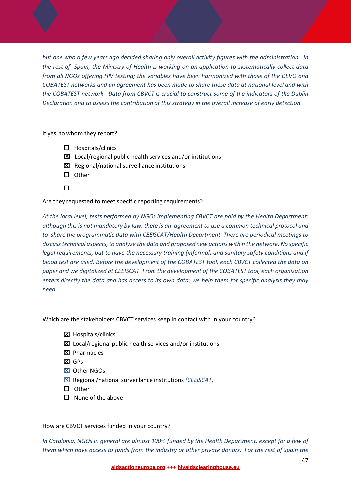but one who a few years ago decided sharing only overall activity figures with the administration. In the rest of Spain, the Ministry of Health is working on an application to systematically collect data *from all NGOs offering HIV testing; the variables have been harmonized with those of the DEVO and COBATEST networks and an agreement has been made to share these data at national level and with the COBATEST network. Data from CBVCT is crucial to construct some of the indicators of the Dublin Declaration and to assess the contribution of this strategy in the overall increase of early detection.* 

If yes, to whom they report?

- $\Box$  Hospitals/clinics
- $\Sigma$  Local/regional public health services and/or institutions
- **EX** Regional/national surveillance institutions
- $\square$  Other
- $\Box$

Are they requested to meet specific reporting requirements?

*At the local level, tests performed by NGOs implementing CBVCT are paid by the Health Department;* although this is not mandatory by law, there is an agreement to use a common technical protocol and *to share the programmatic data with CEEISCAT/Health Department. There are periodical meetings to discusstechnical aspects, to analyze the data and proposed new actions within the network. No specific legal requirements, but to have the necessary training (informal) and sanitary safety conditions and if blood test are used. Before the development of the COBATEST tool, each CBVCT collected the data on paper and we digitalized at CEEISCAT. From the development of the COBATEST tool, each organization* enters directly the data and has access to its own data; we help them for specific analysis they may *need.*

Which are the stakeholders CBVCT services keep in contact with in your country?

- **区** Hospitals/clinics
- Local/regional public health services and/or institutions
- **区** Pharmacies
- $R$  GPs
- Other NGOs
- Regional/national surveillance institutions *(CEEISCAT)*
- $\square$  Other
- $\Box$  None of the above

#### How are CBVCT services funded in your country?

*In Catalonia, NGOs in general are almost 100% funded by the Health Department, except for a few of* them which have access to funds from the industry or other private donors. For the rest of Spain the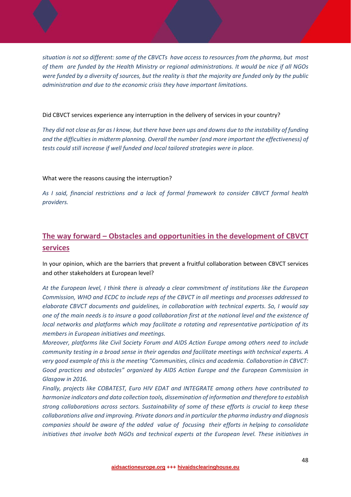situation is not so different: some of the CBVCTs have access to resources from the pharma, but most of them are funded by the Health Ministry or regional administrations. It would be nice if all NGOs were funded by a diversity of sources, but the reality is that the majority are funded only by the public *administration and due to the economic crisis they have important limitations.*

#### Did CBVCT services experience any interruption in the delivery of services in your country?

They did not close as far as I know, but there have been ups and downs due to the instability of funding *and the difficulties in midterm planning. Overall the number (and more important the effectiveness) of tests could still increase if well funded and local tailored strategies were in place.* 

#### What were the reasons causing the interruption?

*As I said, financial restrictions and a lack of formal framework to consider CBVCT formal health providers.*

## **The way forward – Obstacles and opportunities in the development of CBVCT services**

In your opinion, which are the barriers that prevent a fruitful collaboration between CBVCT services and other stakeholders at European level?

*At the European level, I think there is already a clear commitment of institutions like the European Commission, WHO and ECDC to include reps of the CBVCT in all meetings and processes addressed to elaborate CBVCT documents and guidelines, in collaboration with technical experts. So, I would say* one of the main needs is to insure a good collaboration first at the national level and the existence of *local networks and platforms which may facilitate a rotating and representative participation of its members in European initiatives and meetings.* 

*Moreover, platforms like Civil Society Forum and AIDS Action Europe among others need to include community testing in a broad sense in their agendas and facilitate meetings with technical experts. A very good example of this is the meeting "Communities, clinics and academia. Collaboration in CBVCT: Good practices and obstacles" organized by AIDS Action Europe and the European Commission in Glasgow in 2016.* 

*Finally, projects like COBATEST, Euro HIV EDAT and INTEGRATE among others have contributed to harmonize indicators and data collection tools, dissemination of information and therefore to establish strong collaborations across sectors. Sustainability of some of these efforts is crucial to keep these collaborations alive and improving. Private donors and in particular the pharma industry and diagnosis* companies should be aware of the added value of focusing their efforts in helping to consolidate *initiatives that involve both NGOs and technical experts at the European level. These initiatives in*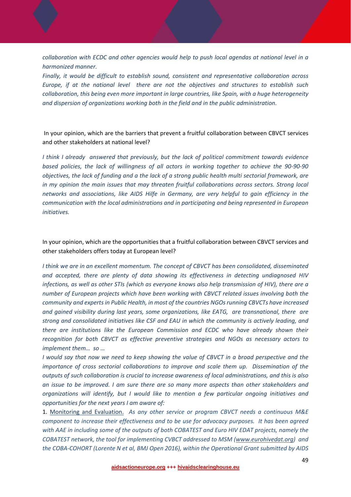*collaboration with ECDC and other agencies would help to push local agendas at national level in a harmonized manner.* 

*Finally, it would be difficult to establish sound, consistent and representative collaboration across Europe, if at the national level there are not the objectives and structures to establish such collaboration, this being even more important in large countries, like Spain, with a huge heterogeneity and dispersion of organizations working both in the field and in the public administration.* 

In your opinion, which are the barriers that prevent a fruitful collaboration between CBVCT services and other stakeholders at national level?

*I think I already answered that previously, but the lack of political commitment towards evidence* based policies, the lack of willingness of all actors in working together to achieve the 90-90-90 objectives, the lack of funding and a the lack of a strong public health multi sectorial framework, are *in my opinion the main issues that may threaten fruitful collaborations across sectors. Strong local networks and associations, like AIDS Hilfe in Germany, are very helpful to gain efficiency in the communication with the local administrations and in participating and being represented in European initiatives.* 

In your opinion, which are the opportunities that a fruitful collaboration between CBVCT services and other stakeholders offers today at European level?

*I think we are in an excellent momentum. The concept of CBVCT has been consolidated, disseminated and accepted, there are plenty of data showing its effectiveness in detecting undiagnosed HIV* infections, as well as other STIs (which as everyone knows also help transmission of HIV), there are a *number of European projects which have been working with CBVCT related issues involving both the community and expertsin Public Health, in most of the countries NGOsrunning CBVCTs have increased and gained visibility during last years, some organizations, like EATG, are transnational, there are strong and consolidated initiatives like CSF and EAU in which the community is actively leading, and there are institutions like the European Commission and ECDC who have already shown their recognition for both CBVCT as effective preventive strategies and NGOs as necessary actors to implement them… so …*

I would say that now we need to keep showing the value of CBVCT in a broad perspective and the *importance of cross sectorial collaborations to improve and scale them up. Dissemination of the outputs of such collaboration is crucial to increase awareness of local administrations, and this is also an issue to be improved. I am sure there are so many more aspects than other stakeholders and organizations will identify, but I would like to mention a few particular ongoing initiatives and opportunities for the next years I am aware of:* 

1. Monitoring and Evaluation. *As any other service or program CBVCT needs a continuous M&E component to increase their effectiveness and to be use for advocacy purposes. It has been agreed with AAE in including some of the outputs of both COBATEST and Euro HIV EDAT projects, namely the COBATEST network, the tool for implementing CVBCT addressed to MSM (www.eurohivedat.org) and the COBA‐COHORT (Lorente N et al, BMJ Open 2016), within the Operational Grant submitted by AIDS*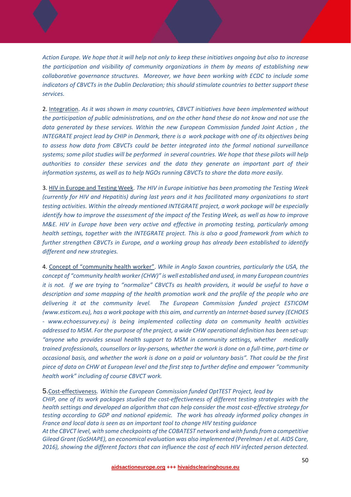Action Europe. We hope that it will help not only to keep these initiatives ongoing but also to increase *the participation and visibility of community organizations in them by means of establishing new collaborative governance structures. Moreover, we have been working with ECDC to include some indicators of CBVCTs in the Dublin Declaration; this should stimulate countries to better support these services.* 

2. Integration. *As it was shown in many countries, CBVCT initiatives have been implemented without* the participation of public administrations, and on the other hand these do not know and not use the *data generated by these services. Within the new European Commission funded Joint Action , the* INTEGRATE project lead by CHIP in Denmark, there is a work package with one of its objectives being *to assess how data from CBVCTs could be better integrated into the formal national surveillance* systems; some pilot studies will be performed in several countries. We hope that these pilots will help *authorities to consider these services and the data they generate an important part of their information systems, as well as to help NGOs running CBVCTs to share the data more easily.*

3. HIV in Europe and Testing Week. *The HIV in Europe initiative has been promoting the Testing Week (currently for HIV and Hepatitis) during last years and it has facilitated many organizations to start testing activities. Within the already mentioned INTEGRATE project, a work package will be especially* identify how to improve the assessment of the impact of the Testing Week, as well as how to improve *M&E. HIV in Europe have been very active and effective in promoting testing, particularly among health settings, together with the INTEGRATE project. This is also a good framework from which to further strengthen CBVCTs in Europe, and a working group has already been established to identify different and new strategies.* 

4. Concept of "community health worker". *While in Anglo Saxon countries, particularly the USA, the concept of "community health worker (CHW)" is well established and used, in many European countries* it is not. If we are trying to "normalize" CBVCTs as health providers, it would be useful to have a *description and some mapping of the health promotion work and the profile of the people who are delivering it at the community level. The European Commission funded project ESTICOM (www.esticom.eu), has a work package with this aim, and currently an Internet‐based survey (ECHOES ‐ www.echoessurvey.eu) is being implemented collecting data on community health activities* addressed to MSM. For the purpose of the project, a wide CHW operational definition has been set-up: *"anyone who provides sexual health support to MSM in community settings, whether medically* trained professionals, counsellors or lay-persons, whether the work is done on a full-time, part-time or occasional basis, and whether the work is done on a paid or voluntary basis". That could be the first *piece of data on CHW at European level and the first step to further define and empower "community health work" including of course CBVCT work.* 

#### 5.Cost‐effectiveness. *Within the European Commission funded OptTEST Project, lead by*

*CHIP, one of its work packages studied the cost‐effectiveness of different testing strategies with the health settings and developed an algorithm that can help consider the most cost‐effective strategy for testing according to GDP and national epidemic. The work has already informed policy changes in France and local data is seen as an important tool to change HIV testing guidance* 

*At the CBVCT level, with some checkpoints of the COBATEST network and with fundsfrom a competitive Gilead Grant (GoSHAPE), an economical evaluation was also implemented (Perelman J et al. AIDS Care, 2016), showing the different factors that can influence the cost of each HIV infected person detected.*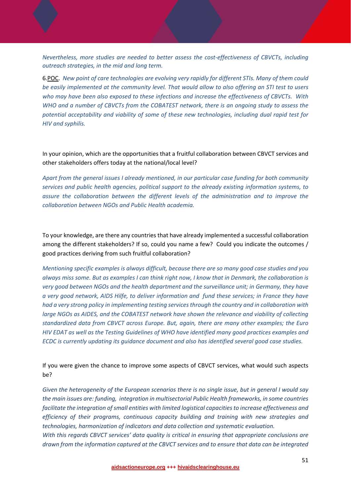*Nevertheless, more studies are needed to better assess the cost‐effectiveness of CBVCTs, including outreach strategies, in the mid and long term.* 

6.POC. *New point of care technologies are evolving very rapidly for different STIs. Many of them could* be easily implemented at the community level. That would allow to also offering an STI test to users *who may have been also exposed to these infections and increase the effectiveness of CBVCTs. With WHO and a number of CBVCTs from the COBATEST network, there is an ongoing study to assess the potential acceptability and viability of some of these new technologies, including dual rapid test for HIV and syphilis.* 

In your opinion, which are the opportunities that a fruitful collaboration between CBVCT services and other stakeholders offers today at the national/local level?

*Apart from the general issues I already mentioned, in our particular case funding for both community services and public health agencies, political support to the already existing information systems, to assure the collaboration between the different levels of the administration and to improve the collaboration between NGOs and Public Health academia.* 

To your knowledge, are there any countries that have already implemented a successful collaboration among the different stakeholders? If so, could you name a few? Could you indicate the outcomes / good practices deriving from such fruitful collaboration?

*Mentioning specific examples is always difficult, because there are so many good case studies and you* always miss some. But as examples I can think right now, I know that in Denmark, the collaboration is *very good between NGOs and the health department and the surveillance unit; in Germany, they have* a very good network, AIDS Hilfe, to deliver information and fund these services; in France they have *had a very strong policy in implementing testing servicesthrough the country and in collaboration with large NGOs as AIDES, and the COBATEST network have shown the relevance and viability of collecting standardized data from CBVCT across Europe. But, again, there are many other examples; the Euro HIV EDAT as well as the Testing Guidelines of WHO have identified many good practices examples and ECDC is currently updating its guidance document and also has identified several good case studies.* 

If you were given the chance to improve some aspects of CBVCT services, what would such aspects be?

Given the heterogeneity of the European scenarios there is no single issue, but in general I would say *the main issues are: funding, integration in multisectorial Public Health frameworks, in some countries facilitate the integration ofsmall entities with limited logistical capacitiesto increase effectiveness and efficiency of their programs, continuous capacity building and training with new strategies and technologies, harmonization of indicators and data collection and systematic evaluation.*

*With this regards CBVCT services' data quality is critical in ensuring that appropriate conclusions are drawn from the information captured at the CBVCT services and to ensure that data can be integrated*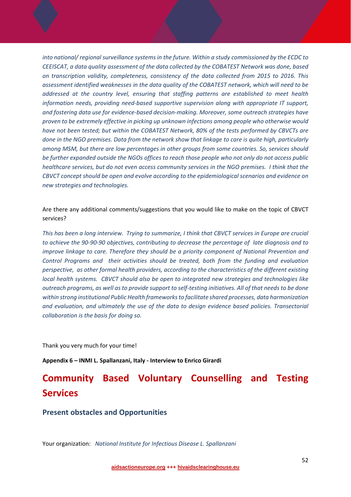*into national/ regional surveillance systems in the future. Within a study commissioned by the ECDC to CEEISCAT, a data quality assessment of the data collected by the COBATEST Network was done, based on transcription validity, completeness, consistency of the data collected from 2015 to 2016. This assessment identified weaknesses in the data quality of the COBATEST network, which will need to be addressed at the country level, ensuring that staffing patterns are established to meet health information needs, providing need‐based supportive supervision along with appropriate IT support, and fostering data use for evidence‐based decision‐making. Moreover, some outreach strategies have proven to be extremely effective in picking up unknown infections among people who otherwise would have not been tested; but within the COBATEST Network, 80% of the tests performed by CBVCTs are* done in the NGO premises. Data from the network show that linkage to care is quite high, particularly *among MSM, but there are low percentages in other groups from some countries. So, services should* be further expanded outside the NGOs offices to reach those people who not only do not access public healthcare services, but do not even access community services in the NGO premises. I think that the *CBVCT concept should be open and evolve according to the epidemiological scenarios and evidence on new strategies and technologies.*

Are there any additional comments/suggestions that you would like to make on the topic of CBVCT services?

This has been a long interview. Trying to summarize, I think that CBVCT services in Europe are crucial to achieve the 90-90-90 objectives, contributing to decrease the percentage of late diagnosis and to *improve linkage to care. Therefore they should be a priority component of National Prevention and Control Programs and their activities should be treated, both from the funding and evaluation perspective, as other formal health providers, according to the characteristics of the different existing local health systems. CBVCT should also be open to integrated new strategies and technologies like* outreach programs, as well as to provide support to self-testing initiatives. All of that needs to be done *within strong institutional Public Health frameworksto facilitate shared processes, data harmonization and evaluation, and ultimately the use of the data to design evidence based policies. Transectorial collaboration is the basis for doing so.* 

Thank you very much for your time!

**Appendix 6 – INMI L. Spallanzani, Italy ‐ Interview to Enrico Girardi**

## **Community Based Voluntary Counselling and Testing Services**

**Present obstacles and Opportunities**

Your organization: *National Institute for Infectious Disease L. Spallanzani*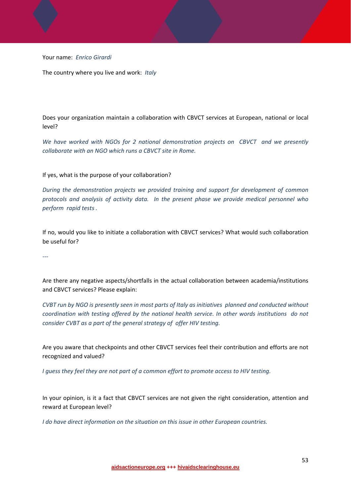Your name: *Enrico Girardi*

The country where you live and work: *Italy*

Does your organization maintain a collaboration with CBVCT services at European, national or local level?

*We have worked with NGOs for 2 national demonstration projects on CBVCT and we presently collaborate with an NGO which runs a CBVCT site in Rome.*

If yes, what is the purpose of your collaboration?

*During the demonstration projects we provided training and support for development of common protocols and analysis of activity data. In the present phase we provide medical personnel who perform rapid tests .*

If no, would you like to initiate a collaboration with CBVCT services? What would such collaboration be useful for?

*‐‐‐* 

Are there any negative aspects/shortfalls in the actual collaboration between academia/institutions and CBVCT services? Please explain:

CVBT run by NGO is presently seen in most parts of Italy as initiatives planned and conducted without *coordination with testing offered by the national health service. In other words institutions do not consider CVBT as a part of the general strategy of offer HIV testing.* 

Are you aware that checkpoints and other CBVCT services feel their contribution and efforts are not recognized and valued?

*I guess they feel they are not part of a common effort to promote access to HIV testing.*

In your opinion, is it a fact that CBVCT services are not given the right consideration, attention and reward at European level?

*I do have direct information on the situation on this issue in other European countries.*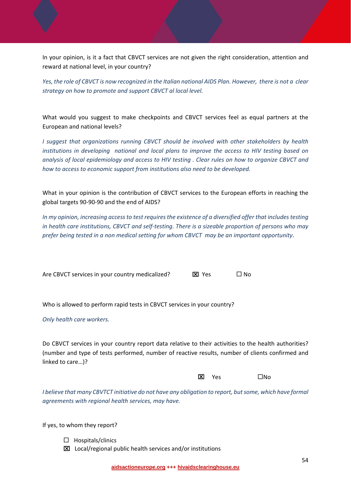In your opinion, is it a fact that CBVCT services are not given the right consideration, attention and reward at national level, in your country?

Yes, the role of CBVCT is now recognized in the Italian national AIDS Plan. However, there is not a clear *strategy on how to promote and support CBVCT al local level.* 

What would you suggest to make checkpoints and CBVCT services feel as equal partners at the European and national levels?

*I suggest that organizations running CBVCT should be involved with other stakeholders by health institutions in developing national and local plans to improve the access to HIV testing based on* analysis of local epidemiology and access to HIV testing . Clear rules on how to organize CBVCT and *how to access to economic support from institutions also need to be developed.*

What in your opinion is the contribution of CBVCT services to the European efforts in reaching the global targets 90‐90‐90 and the end of AIDS?

*In my opinion, increasing accessto test requiresthe existence of a diversified offer that includes testing* in health care institutions, CBVCT and self-testing. There is a sizeable proportion of persons who may *prefer being tested in a non medical setting for whom CBVCT may be an important opportunity*.

Are CBVCT services in your country medicalized?  $\boxtimes$  Yes  $\Box$  No

Who is allowed to perform rapid tests in CBVCT services in your country?

*Only health care workers.*

Do CBVCT services in your country report data relative to their activities to the health authorities? (number and type of tests performed, number of reactive results, number of clients confirmed and linked to care…)?

 $\overline{\mathbf{X}}$  and  $\overline{\mathbf{X}}$  and  $\overline{\mathbf{X}}$  and  $\overline{\mathbf{X}}$  and  $\overline{\mathbf{X}}$  and  $\overline{\mathbf{X}}$  and  $\overline{\mathbf{X}}$  and  $\overline{\mathbf{X}}$  and  $\overline{\mathbf{X}}$  and  $\overline{\mathbf{X}}$  and  $\overline{\mathbf{X}}$  and  $\overline{\mathbf{X}}$  and  $\overline{\mathbf{X}}$  and  $\overline{\mathbf{X}}$  a

*I believe that many CBVTCT initiative do not have any obligation to report, butsome, which have formal agreements with regional health services, may have.*

If yes, to whom they report?

 $\Box$  Hospitals/clinics

Local/regional public health services and/or institutions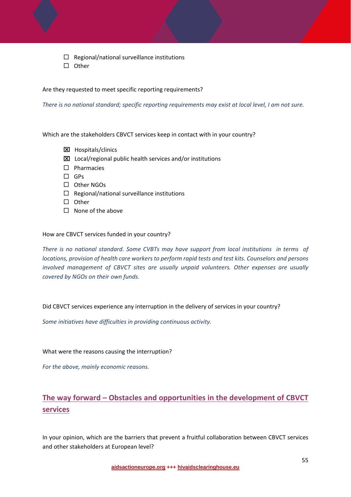$\Box$  Regional/national surveillance institutions

 $\square$  Other

Are they requested to meet specific reporting requirements?

There is no national standard; specific reporting requirements may exist at local level, I am not sure.

Which are the stakeholders CBVCT services keep in contact with in your country?

- Hospitals/clinics
- Local/regional public health services and/or institutions
- $\square$  Pharmacies
- □ GPs
- Other NGOs
- $\Box$  Regional/national surveillance institutions
- $\square$  Other
- $\square$  None of the above

#### How are CBVCT services funded in your country?

There is no national standard. Some CVBTs may have support from local institutions in terms of *locations, provision of health care workers to perform rapid tests and test kits. Counselors and persons involved management of CBVCT sites are usually unpaid volunteers. Other expenses are usually covered by NGOs on their own funds.* 

Did CBVCT services experience any interruption in the delivery of services in your country?

*Some initiatives have difficulties in providing continuous activity.*

What were the reasons causing the interruption?

*For the above, mainly economic reasons.*

## **The way forward – Obstacles and opportunities in the development of CBVCT services**

In your opinion, which are the barriers that prevent a fruitful collaboration between CBVCT services and other stakeholders at European level?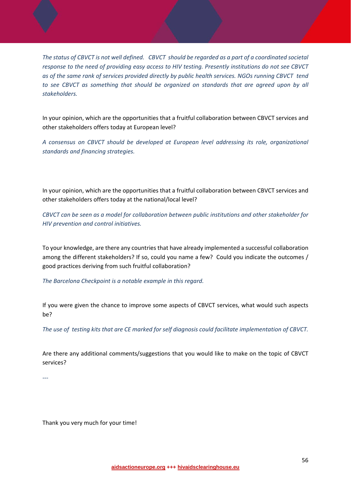The status of CBVCT is not well defined. CBVCT should be regarded as a part of a coordinated societal *response to the need of providing easy access to HIV testing. Presently institutions do not see CBVCT* as of the same rank of services provided directly by public health services. NGOs running CBVCT tend *to see CBVCT as something that should be organized on standards that are agreed upon by all stakeholders.*

In your opinion, which are the opportunities that a fruitful collaboration between CBVCT services and other stakeholders offers today at European level?

*A consensus on CBVCT should be developed at European level addressing its role, organizational standards and financing strategies.*

In your opinion, which are the opportunities that a fruitful collaboration between CBVCT services and other stakeholders offers today at the national/local level?

*CBVCT can be seen as a model for collaboration between public institutions and other stakeholder for HIV prevention and control initiatives.* 

To your knowledge, are there any countries that have already implemented a successful collaboration among the different stakeholders? If so, could you name a few? Could you indicate the outcomes / good practices deriving from such fruitful collaboration?

*The Barcelona Checkpoint is a notable example in this regard.*

If you were given the chance to improve some aspects of CBVCT services, what would such aspects be?

The use of testing kits that are CE marked for self diagnosis could facilitate implementation of CBVCT.

Are there any additional comments/suggestions that you would like to make on the topic of CBVCT services?

*‐‐‐*

Thank you very much for your time!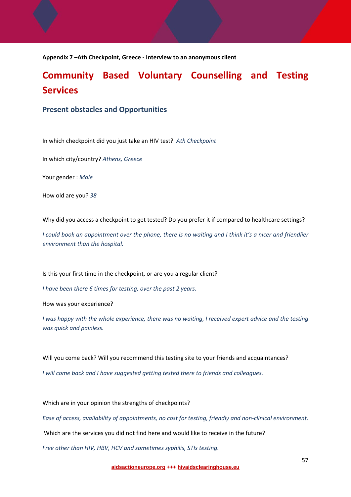**Appendix 7 –Ath Checkpoint, Greece ‐ Interview to an anonymous client**

## **Community Based Voluntary Counselling and Testing Services**

#### **Present obstacles and Opportunities**

In which checkpoint did you just take an HIV test? *Ath Checkpoint*

In which city/country? *Athens, Greece* 

Your gender : *Male*

How old are you? *38*

Why did you access a checkpoint to get tested? Do you prefer it if compared to healthcare settings?

I could book an appointment over the phone, there is no waiting and I think it's a nicer and friendlier *environment than the hospital.* 

Is this your first time in the checkpoint, or are you a regular client?

*I have been there 6 times for testing, over the past 2 years.* 

How was your experience?

I was happy with the whole experience, there was no waiting, I received expert advice and the testing *was quick and painless.*

Will you come back? Will you recommend this testing site to your friends and acquaintances?

*I will come back and I have suggested getting tested there to friends and colleagues.*

Which are in your opinion the strengths of checkpoints?

Ease of access, availability of appointments, no cost for testing, friendly and non-clinical environment.

Which are the services you did not find here and would like to receive in the future?

*Free other than HIV, HBV, HCV and sometimes syphilis, STIs testing.*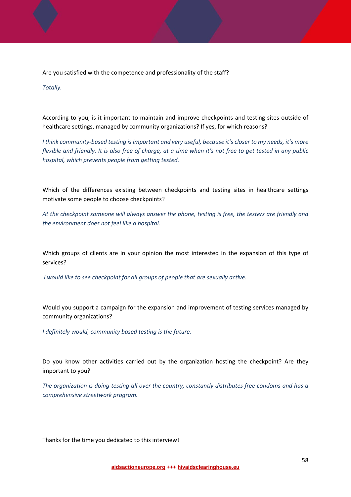Are you satisfied with the competence and professionality of the staff?

*Totally.*

According to you, is it important to maintain and improve checkpoints and testing sites outside of healthcare settings, managed by community organizations? If yes, for which reasons?

I think community-based testing is important and very useful, because it's closer to my needs, it's more flexible and friendly. It is also free of charge, at a time when it's not free to get tested in any public *hospital, which prevents people from getting tested.*

Which of the differences existing between checkpoints and testing sites in healthcare settings motivate some people to choose checkpoints?

*At the checkpoint someone will always answer the phone, testing is free, the testers are friendly and the environment does not feel like a hospital.* 

Which groups of clients are in your opinion the most interested in the expansion of this type of services?

*I would like to see checkpoint for all groups of people that are sexually active.*

Would you support a campaign for the expansion and improvement of testing services managed by community organizations?

*I definitely would, community based testing is the future.*

Do you know other activities carried out by the organization hosting the checkpoint? Are they important to you?

*The organization is doing testing all over the country, constantly distributes free condoms and has a comprehensive streetwork program.*

Thanks for the time you dedicated to this interview!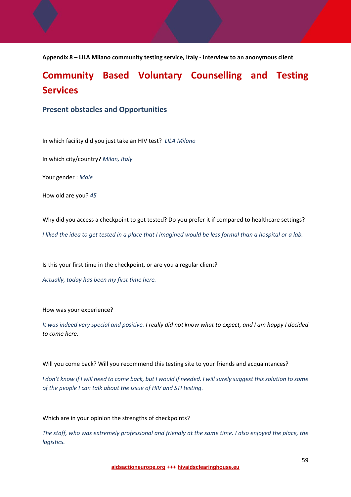**Appendix 8 – LILA Milano community testing service, Italy ‐ Interview to an anonymous client**

## **Community Based Voluntary Counselling and Testing Services**

#### **Present obstacles and Opportunities**

In which facility did you just take an HIV test? *LILA Milano* 

In which city/country? *Milan, Italy* 

Your gender : *Male*

How old are you? *45*

Why did you access a checkpoint to get tested? Do you prefer it if compared to healthcare settings?

I liked the idea to get tested in a place that I imagined would be less formal than a hospital or a lab.

Is this your first time in the checkpoint, or are you a regular client?

*Actually, today has been my first time here.*

How was your experience?

It was indeed very special and positive. I really did not know what to expect, and I am happy I decided *to come here.*

Will you come back? Will you recommend this testing site to your friends and acquaintances?

I don't know if I will need to come back, but I would if needed. I will surely suggest this solution to some *of the people I can talk about the issue of HIV and STI testing.*

Which are in your opinion the strengths of checkpoints?

The staff, who was extremely professional and friendly at the same time. I also enjoyed the place, the *logistics.*